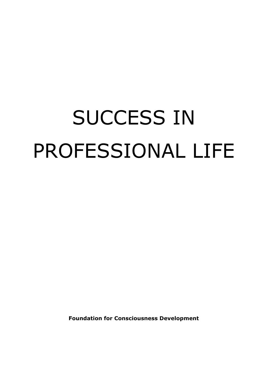# SUCCESS IN PROFESSIONAL LIFE

**Foundation for Consciousness Development**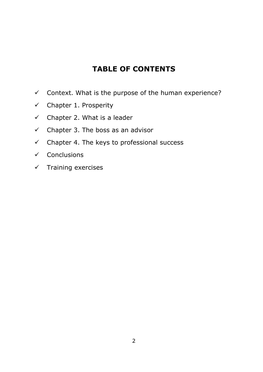# **TABLE OF CONTENTS**

- $\checkmark$  Context. What is the purpose of the human experience?
- $\checkmark$  Chapter 1. Prosperity
- $\checkmark$  Chapter 2. What is a leader
- $\checkmark$  Chapter 3. The boss as an advisor
- $\checkmark$  Chapter 4. The keys to professional success
- $\checkmark$  Conclusions
- $\checkmark$  Training exercises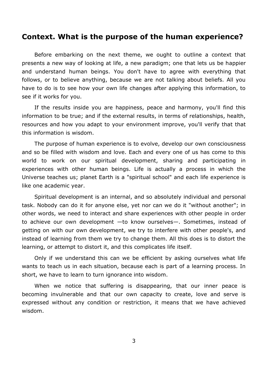# **Context. What is the purpose of the human experience?**

Before embarking on the next theme, we ought to outline a context that presents a new way of looking at life, a new paradigm; one that lets us be happier and understand human beings. You don't have to agree with everything that follows, or to believe anything, because we are not talking about beliefs. All you have to do is to see how your own life changes after applying this information, to see if it works for you.

If the results inside you are happiness, peace and harmony, you'll find this information to be true; and if the external results, in terms of relationships, health, resources and how you adapt to your environment improve, you'll verify that that this information is wisdom.

The purpose of human experience is to evolve, develop our own consciousness and so be filled with wisdom and love. Each and every one of us has come to this world to work on our spiritual development, sharing and participating in experiences with other human beings. Life is actually a process in which the Universe teaches us; planet Earth is a "spiritual school" and each life experience is like one academic year.

Spiritual development is an internal, and so absolutely individual and personal task. Nobody can do it for anyone else, yet nor can we do it "without another"; in other words, we need to interact and share experiences with other people in order to achieve our own development —to know ourselves—. Sometimes, instead of getting on with our own development, we try to interfere with other people's, and instead of learning from them we try to change them. All this does is to distort the learning, or attempt to distort it, and this complicates life itself.

Only if we understand this can we be efficient by asking ourselves what life wants to teach us in each situation, because each is part of a learning process. In short, we have to learn to turn ignorance into wisdom.

When we notice that suffering is disappearing, that our inner peace is becoming invulnerable and that our own capacity to create, love and serve is expressed without any condition or restriction, it means that we have achieved wisdom.

3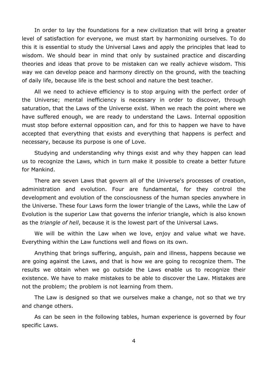In order to lay the foundations for a new civilization that will bring a greater level of satisfaction for everyone, we must start by harmonizing ourselves. To do this it is essential to study the Universal Laws and apply the principles that lead to wisdom. We should bear in mind that only by sustained practice and discarding theories and ideas that prove to be mistaken can we really achieve wisdom. This way we can develop peace and harmony directly on the ground, with the teaching of daily life, because life is the best school and nature the best teacher.

All we need to achieve efficiency is to stop arguing with the perfect order of the Universe; mental inefficiency is necessary in order to discover, through saturation, that the Laws of the Universe exist. When we reach the point where we have suffered enough, we are ready to understand the Laws. Internal opposition must stop before external opposition can, and for this to happen we have to have accepted that everything that exists and everything that happens is perfect and necessary, because its purpose is one of Love.

Studying and understanding why things exist and why they happen can lead us to recognize the Laws, which in turn make it possible to create a better future for Mankind.

There are seven Laws that govern all of the Universe's processes of creation, administration and evolution. Four are fundamental, for they control the development and evolution of the consciousness of the human species anywhere in the Universe. These four Laws form the lower triangle of the Laws, while the Law of Evolution is the superior Law that governs the inferior triangle, which is also known as the *triangle of hell*, because it is the lowest part of the Universal Laws.

We will be within the Law when we love, enjoy and value what we have. Everything within the Law functions well and flows on its own.

Anything that brings suffering, anguish, pain and illness, happens because we are going against the Laws, and that is how we are going to recognize them. The results we obtain when we go outside the Laws enable us to recognize their existence. We have to make mistakes to be able to discover the Law. Mistakes are not the problem; the problem is not learning from them.

The Law is designed so that we ourselves make a change, not so that we try and change others.

As can be seen in the following tables, human experience is governed by four specific Laws.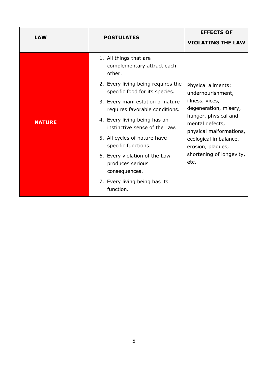| <b>LAW</b>    | <b>POSTULATES</b>                                                    | <b>EFFECTS OF</b><br><b>VIOLATING THE LAW</b>                                                                                                             |
|---------------|----------------------------------------------------------------------|-----------------------------------------------------------------------------------------------------------------------------------------------------------|
| <b>NATURE</b> | 1. All things that are<br>complementary attract each<br>other.       | Physical ailments:<br>undernourishment,<br>illness, vices,<br>degeneration, misery,<br>hunger, physical and<br>mental defects,<br>physical malformations, |
|               | 2. Every living being requires the<br>specific food for its species. |                                                                                                                                                           |
|               | 3. Every manifestation of nature<br>requires favorable conditions.   |                                                                                                                                                           |
|               | 4. Every living being has an<br>instinctive sense of the Law.        |                                                                                                                                                           |
|               | 5. All cycles of nature have<br>specific functions.                  | ecological imbalance,<br>erosion, plagues,                                                                                                                |
|               | 6. Every violation of the Law<br>produces serious<br>consequences.   | shortening of longevity,<br>etc.                                                                                                                          |
|               | 7. Every living being has its<br>function.                           |                                                                                                                                                           |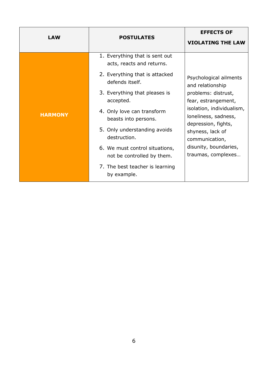| <b>LAW</b>     | <b>POSTULATES</b>                                                                                                                                                                                                                                                    | <b>EFFECTS OF</b><br><b>VIOLATING THE LAW</b>                                                                                                                                                                                       |
|----------------|----------------------------------------------------------------------------------------------------------------------------------------------------------------------------------------------------------------------------------------------------------------------|-------------------------------------------------------------------------------------------------------------------------------------------------------------------------------------------------------------------------------------|
| <b>HARMONY</b> | 1. Everything that is sent out<br>acts, reacts and returns.<br>2. Everything that is attacked<br>defends itself.<br>3. Everything that pleases is<br>accepted.<br>4. Only love can transform<br>beasts into persons.<br>5. Only understanding avoids<br>destruction. | Psychological ailments<br>and relationship<br>problems: distrust,<br>fear, estrangement,<br>isolation, individualism,<br>loneliness, sadness,<br>depression, fights,<br>shyness, lack of<br>communication,<br>disunity, boundaries, |
|                | 6. We must control situations,<br>not be controlled by them.<br>7. The best teacher is learning<br>by example.                                                                                                                                                       | traumas, complexes                                                                                                                                                                                                                  |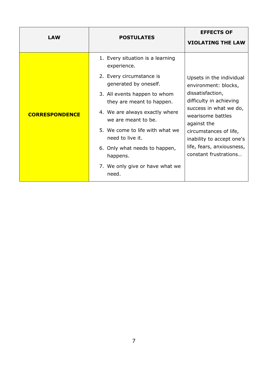| <b>LAW</b>            | <b>POSTULATES</b>                                                                                                                                                                                                                                                                                                              | <b>EFFECTS OF</b><br><b>VIOLATING THE LAW</b>                                                                                                                                                                                                                              |
|-----------------------|--------------------------------------------------------------------------------------------------------------------------------------------------------------------------------------------------------------------------------------------------------------------------------------------------------------------------------|----------------------------------------------------------------------------------------------------------------------------------------------------------------------------------------------------------------------------------------------------------------------------|
| <b>CORRESPONDENCE</b> | 1. Every situation is a learning<br>experience.<br>2. Every circumstance is<br>generated by oneself.<br>3. All events happen to whom<br>they are meant to happen.<br>4. We are always exactly where<br>we are meant to be.<br>5. We come to life with what we<br>need to live it.<br>6. Only what needs to happen,<br>happens. | Upsets in the individual<br>environment: blocks,<br>dissatisfaction,<br>difficulty in achieving<br>success in what we do,<br>wearisome battles<br>against the<br>circumstances of life,<br>inability to accept one's<br>life, fears, anxiousness,<br>constant frustrations |
|                       | 7. We only give or have what we<br>need.                                                                                                                                                                                                                                                                                       |                                                                                                                                                                                                                                                                            |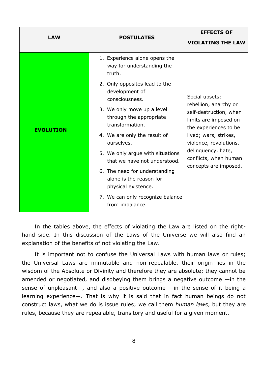| <b>LAW</b>       | <b>POSTULATES</b>                                                               | <b>EFFECTS OF</b><br><b>VIOLATING THE LAW</b>                                                                                                                                                                                                  |
|------------------|---------------------------------------------------------------------------------|------------------------------------------------------------------------------------------------------------------------------------------------------------------------------------------------------------------------------------------------|
| <b>EVOLUTION</b> | 1. Experience alone opens the<br>way for understanding the<br>truth.            | Social upsets:<br>rebellion, anarchy or<br>self-destruction, when<br>limits are imposed on<br>the experiences to be<br>lived; wars, strikes,<br>violence, revolutions,<br>delinquency, hate,<br>conflicts, when human<br>concepts are imposed. |
|                  | 2. Only opposites lead to the<br>development of<br>consciousness.               |                                                                                                                                                                                                                                                |
|                  | 3. We only move up a level<br>through the appropriate<br>transformation.        |                                                                                                                                                                                                                                                |
|                  | 4. We are only the result of<br>ourselves.                                      |                                                                                                                                                                                                                                                |
|                  | 5. We only argue with situations<br>that we have not understood.                |                                                                                                                                                                                                                                                |
|                  | 6. The need for understanding<br>alone is the reason for<br>physical existence. |                                                                                                                                                                                                                                                |
|                  | 7. We can only recognize balance<br>from imbalance.                             |                                                                                                                                                                                                                                                |

In the tables above, the effects of violating the Law are listed on the righthand side. In this discussion of the Laws of the Universe we will also find an explanation of the benefits of not violating the Law.

It is important not to confuse the Universal Laws with human laws or rules; the Universal Laws are immutable and non-repealable, their origin lies in the wisdom of the Absolute or Divinity and therefore they are absolute; they cannot be amended or negotiated, and disobeying them brings a negative outcome —in the sense of unpleasant—, and also a positive outcome —in the sense of it being a learning experience—. That is why it is said that in fact human beings do not construct laws, what we do is issue rules; we call them *human laws*, but they are rules, because they are repealable, transitory and useful for a given moment.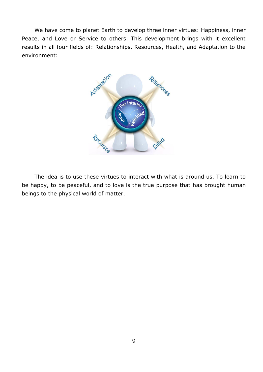We have come to planet Earth to develop three inner virtues: Happiness, inner Peace, and Love or Service to others. This development brings with it excellent results in all four fields of: Relationships, Resources, Health, and Adaptation to the environment:



The idea is to use these virtues to interact with what is around us. To learn to be happy, to be peaceful, and to love is the true purpose that has brought human beings to the physical world of matter.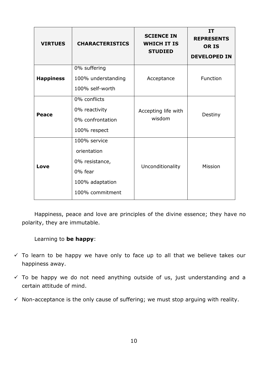| <b>VIRTUES</b>   | <b>CHARACTERISTICS</b>                                                                         | <b>SCIENCE IN</b><br><b>WHICH IT IS</b><br><b>STUDIED</b> | <b>IT</b><br><b>REPRESENTS</b><br><b>OR IS</b><br><b>DEVELOPED IN</b> |
|------------------|------------------------------------------------------------------------------------------------|-----------------------------------------------------------|-----------------------------------------------------------------------|
| <b>Happiness</b> | 0% suffering<br>100% understanding<br>100% self-worth                                          | Acceptance                                                | Function                                                              |
| <b>Peace</b>     | 0% conflicts<br>0% reactivity<br>0% confrontation<br>100% respect                              | Accepting life with<br>wisdom                             | Destiny                                                               |
| Love             | 100% service<br>orientation<br>0% resistance,<br>0% fear<br>100% adaptation<br>100% commitment | Unconditionality                                          | Mission                                                               |

Happiness, peace and love are principles of the divine essence; they have no polarity, they are immutable.

Learning to **be happy**:

- $\checkmark$  To learn to be happy we have only to face up to all that we believe takes our happiness away.
- $\checkmark$  To be happy we do not need anything outside of us, just understanding and a certain attitude of mind.
- $\checkmark$  Non-acceptance is the only cause of suffering; we must stop arguing with reality.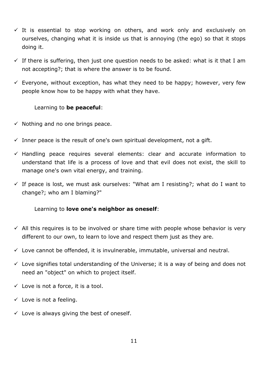- $\checkmark$  It is essential to stop working on others, and work only and exclusively on ourselves, changing what it is inside us that is annoying (the ego) so that it stops doing it.
- $\checkmark$  If there is suffering, then just one question needs to be asked: what is it that I am not accepting?; that is where the answer is to be found.
- $\checkmark$  Everyone, without exception, has what they need to be happy; however, very few people know how to be happy with what they have.

## Learning to **be peaceful**:

- $\checkmark$  Nothing and no one brings peace.
- $\checkmark$  Inner peace is the result of one's own spiritual development, not a gift.
- $\checkmark$  Handling peace requires several elements: clear and accurate information to understand that life is a process of love and that evil does not exist, the skill to manage one's own vital energy, and training.
- $\checkmark$  If peace is lost, we must ask ourselves: "What am I resisting?; what do I want to change?; who am I blaming?"

## Learning to **love one's neighbor as oneself**:

- $\checkmark$  All this requires is to be involved or share time with people whose behavior is very different to our own, to learn to love and respect them just as they are.
- $\checkmark$  Love cannot be offended, it is invulnerable, immutable, universal and neutral.
- $\checkmark$  Love signifies total understanding of the Universe; it is a way of being and does not need an "object" on which to project itself.
- $\checkmark$  Love is not a force, it is a tool.
- $\checkmark$  Love is not a feeling.
- $\checkmark$  Love is always giving the best of oneself.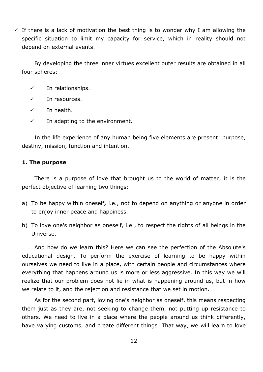$\checkmark$  If there is a lack of motivation the best thing is to wonder why I am allowing the specific situation to limit my capacity for service, which in reality should not depend on external events.

By developing the three inner virtues excellent outer results are obtained in all four spheres:

- $\checkmark$  In relationships.
- $\checkmark$  In resources.
- $\checkmark$  In health.
- $\checkmark$  In adapting to the environment.

In the life experience of any human being five elements are present: purpose, destiny, mission, function and intention.

#### **1. The purpose**

There is a purpose of love that brought us to the world of matter; it is the perfect objective of learning two things:

- a) To be happy within oneself*,* i.e., not to depend on anything or anyone in order to enjoy inner peace and happiness.
- b) To love one's neighbor as oneself, i.e., to respect the rights of all beings in the Universe.

And how do we learn this? Here we can see the perfection of the Absolute's educational design. To perform the exercise of learning to be happy within ourselves we need to live in a place, with certain people and circumstances where everything that happens around us is more or less aggressive. In this way we will realize that our problem does not lie in what is happening around us, but in how we relate to it, and the rejection and resistance that we set in motion.

As for the second part, loving one's neighbor as oneself, this means respecting them just as they are, not seeking to change them, not putting up resistance to others. We need to live in a place where the people around us think differently, have varying customs, and create different things. That way, we will learn to love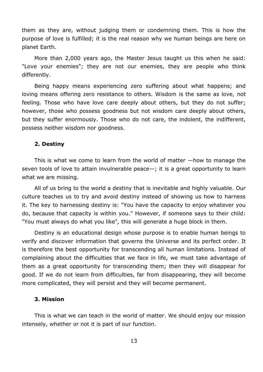them as they are, without judging them or condemning them. This is how the purpose of love is fulfilled; it is the real reason why we human beings are here on planet Earth.

More than 2,000 years ago, the Master Jesus taught us this when he said: "Love your enemies"; they are not our enemies, they are people who think differently.

Being happy means experiencing zero suffering about what happens; and loving means offering zero resistance to others. Wisdom is the same as love, not feeling. Those who have love care deeply about others, but they do not suffer; however, those who possess goodness but not wisdom care deeply about others, but they suffer enormously. Those who do not care, the indolent, the indifferent, possess neither wisdom nor goodness.

#### **2. Destiny**

This is what we come to learn from the world of matter —how to manage the seven tools of love to attain invulnerable peace—; it is a great opportunity to learn what we are missing.

All of us bring to the world a destiny that is inevitable and highly valuable. Our culture teaches us to try and avoid destiny instead of showing us how to harness it. The key to harnessing destiny is: "You have the capacity to enjoy whatever you do, because that capacity is within you." However, if someone says to their child: "You must always do what you like"*,* this will generate a huge block in them.

Destiny is an educational design whose purpose is to enable human beings to verify and discover information that governs the Universe and its perfect order. It is therefore the best opportunity for transcending all human limitations. Instead of complaining about the difficulties that we face in life, we must take advantage of them as a great opportunity for transcending them; then they will disappear for good. If we do not learn from difficulties, far from disappearing, they will become more complicated, they will persist and they will become permanent.

### **3. Mission**

This is what we can teach in the world of matter. We should enjoy our mission intensely, whether or not it is part of our function.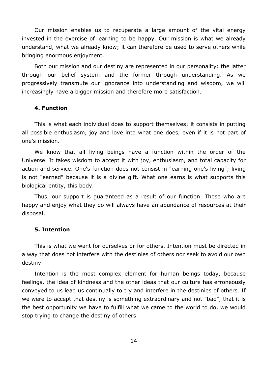Our mission enables us to recuperate a large amount of the vital energy invested in the exercise of learning to be happy. Our mission is what we already understand, what we already know; it can therefore be used to serve others while bringing enormous enjoyment.

Both our mission and our destiny are represented in our personality: the latter through our belief system and the former through understanding. As we progressively transmute our ignorance into understanding and wisdom, we will increasingly have a bigger mission and therefore more satisfaction.

#### **4. Function**

This is what each individual does to support themselves; it consists in putting all possible enthusiasm, joy and love into what one does, even if it is not part of one's mission.

We know that all living beings have a function within the order of the Universe. It takes wisdom to accept it with joy, enthusiasm, and total capacity for action and service. One's function does not consist in "earning one's living"; living is not "earned" because it is a divine gift. What one earns is what supports this biological entity, this body.

Thus, our support is guaranteed as a result of our function. Those who are happy and enjoy what they do will always have an abundance of resources at their disposal.

### **5. Intention**

This is what we want for ourselves or for others. Intention must be directed in a way that does not interfere with the destinies of others nor seek to avoid our own destiny.

Intention is the most complex element for human beings today, because feelings, the idea of kindness and the other ideas that our culture has erroneously conveyed to us lead us continually to try and interfere in the destinies of others. If we were to accept that destiny is something extraordinary and not "bad", that it is the best opportunity we have to fulfill what we came to the world to do, we would stop trying to change the destiny of others.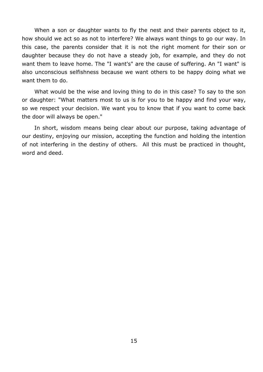When a son or daughter wants to fly the nest and their parents object to it, how should we act so as not to interfere? We always want things to go our way. In this case, the parents consider that it is not the right moment for their son or daughter because they do not have a steady job, for example, and they do not want them to leave home. The "I want's" are the cause of suffering. An "I want" is also unconscious selfishness because we want others to be happy doing what we want them to do.

What would be the wise and loving thing to do in this case? To say to the son or daughter: "What matters most to us is for you to be happy and find your way, so we respect your decision. We want you to know that if you want to come back the door will always be open."

In short, wisdom means being clear about our purpose, taking advantage of our destiny, enjoying our mission, accepting the function and holding the intention of not interfering in the destiny of others. All this must be practiced in thought, word and deed.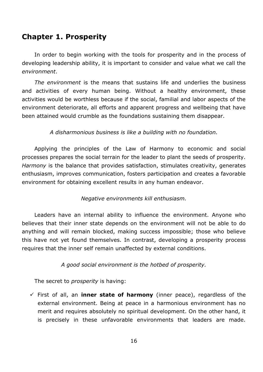# **Chapter 1. Prosperity**

In order to begin working with the tools for prosperity and in the process of developing leadership ability, it is important to consider and value what we call the *environment*.

*The environment* is the means that sustains life and underlies the business and activities of every human being. Without a healthy environment, these activities would be worthless because if the social, familial and labor aspects of the environment deteriorate, all efforts and apparent progress and wellbeing that have been attained would crumble as the foundations sustaining them disappear.

## *A disharmonious business is like a building with no foundation.*

Applying the principles of the Law of Harmony to economic and social processes prepares the social terrain for the leader to plant the seeds of prosperity. *Harmony* is the balance that provides satisfaction, stimulates creativity, generates enthusiasm, improves communication, fosters participation and creates a favorable environment for obtaining excellent results in any human endeavor.

## *Negative environments kill enthusiasm.*

Leaders have an internal ability to influence the environment. Anyone who believes that their inner state depends on the environment will not be able to do anything and will remain blocked, making success impossible; those who believe this have not yet found themselves. In contrast, developing a prosperity process requires that the inner self remain unaffected by external conditions.

#### *A good social environment is the hotbed of prosperity.*

The secret to *prosperity* is having:

 $\checkmark$  First of all, an **inner state of harmony** (inner peace), regardless of the external environment. Being at peace in a harmonious environment has no merit and requires absolutely no spiritual development. On the other hand, it is precisely in these unfavorable environments that leaders are made.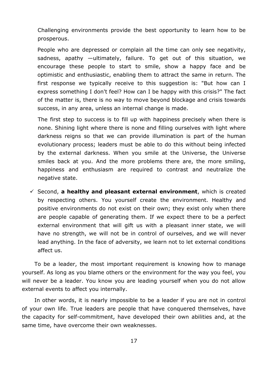Challenging environments provide the best opportunity to learn how to be prosperous.

People who are depressed or complain all the time can only see negativity, sadness, apathy —ultimately, failure. To get out of this situation, we encourage these people to start to smile, show a happy face and be optimistic and enthusiastic, enabling them to attract the same in return. The first response we typically receive to this suggestion is: "But how can I express something I don't feel? How can I be happy with this crisis?" The fact of the matter is, there is no way to move beyond blockage and crisis towards success, in any area, unless an internal change is made.

The first step to success is to fill up with happiness precisely when there is none. Shining light where there is none and filling ourselves with light where darkness reigns so that we can provide illumination is part of the human evolutionary process; leaders must be able to do this without being infected by the external darkness. When you smile at the Universe, the Universe smiles back at you. And the more problems there are, the more smiling, happiness and enthusiasm are required to contrast and neutralize the negative state.

 $\checkmark$  Second, a healthy and pleasant external environment, which is created by respecting others. You yourself create the environment. Healthy and positive environments do not exist on their own; they exist only when there are people capable of generating them. If we expect there to be a perfect external environment that will gift us with a pleasant inner state, we will have no strength, we will not be in control of ourselves, and we will never lead anything. In the face of adversity, we learn not to let external conditions affect us.

To be a leader, the most important requirement is knowing how to manage yourself. As long as you blame others or the environment for the way you feel, you will never be a leader. You know you are leading yourself when you do not allow external events to affect you internally.

In other words, it is nearly impossible to be a leader if you are not in control of your own life. True leaders are people that have conquered themselves, have the capacity for self-commitment, have developed their own abilities and, at the same time, have overcome their own weaknesses.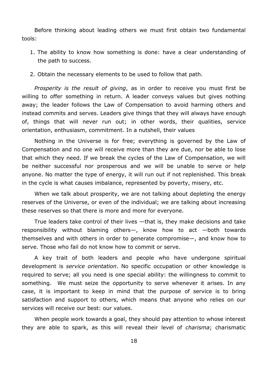Before thinking about leading others we must first obtain two fundamental tools:

- 1. The ability to know how something is done: have a clear understanding of the path to success.
- 2. Obtain the necessary elements to be used to follow that path.

*Prosperity is the result of giving*, as in order to receive you must first be willing to offer something in return. A leader conveys values but gives nothing away; the leader follows the Law of Compensation to avoid harming others and instead commits and serves. Leaders give things that they will always have enough of, things that will never run out; in other words, their qualities, service orientation, enthusiasm, commitment. In a nutshell, their values

Nothing in the Universe is for free; everything is governed by the Law of Compensation and no one will receive more than they are due, nor be able to lose that which they need. If we break the cycles of the Law of Compensation, we will be neither successful nor prosperous and we will be unable to serve or help anyone. No matter the type of energy, it will run out if not replenished. This break in the cycle is what causes imbalance, represented by poverty, misery, etc.

When we talk about prosperity, we are not talking about depleting the energy reserves of the Universe, or even of the individual; we are talking about increasing these reserves so that there is more and more for everyone.

True leaders take control of their lives —that is, they make decisions and take responsibility without blaming others—, know how to act —both towards themselves and with others in order to generate compromise—, and know how to serve. Those who fail do not know how to commit or serve.

A key trait of both leaders and people who have undergone spiritual development is *service orientation*. No specific occupation or other knowledge is required to serve; all you need is one special ability: the willingness to commit to something. We must seize the opportunity to serve whenever it arises. In any case, it is important to keep in mind that the purpose of service is to bring satisfaction and support to others, which means that anyone who relies on our services will receive our best: our values.

When people work towards a goal, they should pay attention to whose interest they are able to spark, as this will reveal their level of *charisma*; charismatic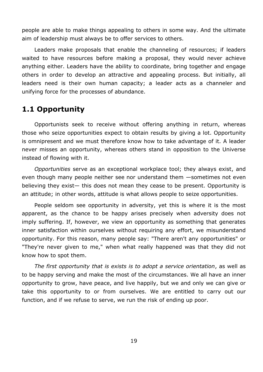people are able to make things appealing to others in some way. And the ultimate aim of leadership must always be to offer services to others.

Leaders make proposals that enable the channeling of resources; if leaders waited to have resources before making a proposal, they would never achieve anything either. Leaders have the ability to coordinate, bring together and engage others in order to develop an attractive and appealing process. But initially, all leaders need is their own human capacity; a leader acts as a channeler and unifying force for the processes of abundance.

# **1.1 Opportunity**

Opportunists seek to receive without offering anything in return, whereas those who seize opportunities expect to obtain results by giving a lot. Opportunity is omnipresent and we must therefore know how to take advantage of it. A leader never misses an opportunity, whereas others stand in opposition to the Universe instead of flowing with it.

*Opportunities* serve as an exceptional workplace tool; they always exist, and even though many people neither see nor understand them —sometimes not even believing they exist— this does not mean they cease to be present. Opportunity is an attitude; in other words, attitude is what allows people to seize opportunities.

People seldom see opportunity in adversity, yet this is where it is the most apparent, as the chance to be happy arises precisely when adversity does not imply suffering. If, however, we view an opportunity as something that generates inner satisfaction within ourselves without requiring any effort, we misunderstand opportunity. For this reason, many people say: "There aren't any opportunities" or "They're never given to me," when what really happened was that they did not know how to spot them.

*The first opportunity that is exists is to adopt a service orientation*, as well as to be happy serving and make the most of the circumstances. We all have an inner opportunity to grow, have peace, and live happily, but we and only we can give or take this opportunity to or from ourselves. We are entitled to carry out our function, and if we refuse to serve, we run the risk of ending up poor.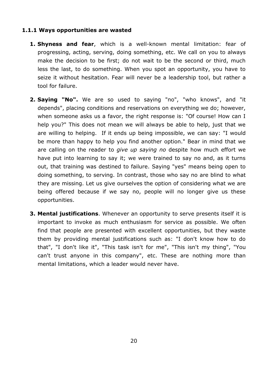## **1.1.1 Ways opportunities are wasted**

- **1. Shyness and fear**, which is a well-known mental limitation: fear of progressing, acting, serving, doing something, etc. We call on you to always make the decision to be first; do not wait to be the second or third, much less the last, to do something. When you spot an opportunity, you have to seize it without hesitation. Fear will never be a leadership tool, but rather a tool for failure.
- **2. Saying "No".** We are so used to saying "no", "who knows", and "it depends", placing conditions and reservations on everything we do; however, when someone asks us a favor, the right response is: "Of course! How can I help you?" This does not mean we will always be able to help, just that we are willing to helping. If it ends up being impossible, we can say: "I would be more than happy to help you find another option." Bear in mind that we are calling on the reader to *give up saying no* despite how much effort we have put into learning to say it; we were trained to say no and, as it turns out, that training was destined to failure. Saying "yes" means being open to doing something, to serving. In contrast, those who say no are blind to what they are missing. Let us give ourselves the option of considering what we are being offered because if we say no, people will no longer give us these opportunities.
- **3. Mental justifications**. Whenever an opportunity to serve presents itself it is important to invoke as much enthusiasm for service as possible. We often find that people are presented with excellent opportunities, but they waste them by providing mental justifications such as: "I don't know how to do that", "I don't like it", "This task isn't for me", "This isn't my thing", "You can't trust anyone in this company", etc. These are nothing more than mental limitations, which a leader would never have.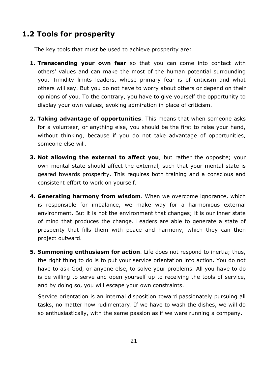# **1.2 Tools for prosperity**

The key tools that must be used to achieve prosperity are:

- **1. Transcending your own fear** so that you can come into contact with others' values and can make the most of the human potential surrounding you. Timidity limits leaders, whose primary fear is of criticism and what others will say. But you do not have to worry about others or depend on their opinions of you. To the contrary, you have to give yourself the opportunity to display your own values, evoking admiration in place of criticism.
- **2. Taking advantage of opportunities**. This means that when someone asks for a volunteer, or anything else, you should be the first to raise your hand, without thinking, because if you do not take advantage of opportunities, someone else will.
- **3. Not allowing the external to affect you**, but rather the opposite; your own mental state should affect the external, such that your mental state is geared towards prosperity. This requires both training and a conscious and consistent effort to work on yourself.
- **4. Generating harmony from wisdom**. When we overcome ignorance, which is responsible for imbalance, we make way for a harmonious external environment. But it is not the environment that changes; it is our inner state of mind that produces the change. Leaders are able to generate a state of prosperity that fills them with peace and harmony, which they can then project outward.
- **5. Summoning enthusiasm for action**. Life does not respond to inertia; thus, the right thing to do is to put your service orientation into action. You do not have to ask God, or anyone else, to solve your problems. All you have to do is be willing to serve and open yourself up to receiving the tools of service, and by doing so, you will escape your own constraints.

Service orientation is an internal disposition toward passionately pursuing all tasks, no matter how rudimentary. If we have to wash the dishes, we will do so enthusiastically, with the same passion as if we were running a company.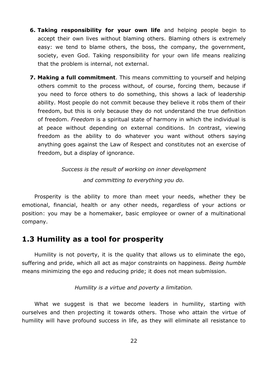- **6. Taking responsibility for your own life** and helping people begin to accept their own lives without blaming others. Blaming others is extremely easy: we tend to blame others, the boss, the company, the government, society, even God. Taking responsibility for your own life means realizing that the problem is internal, not external.
- **7. Making a full commitment**. This means committing to yourself and helping others commit to the process without, of course, forcing them, because if you need to force others to do something, this shows a lack of leadership ability. Most people do not commit because they believe it robs them of their freedom, but this is only because they do not understand the true definition of freedom. *Freedom* is a spiritual state of harmony in which the individual is at peace without depending on external conditions. In contrast, viewing freedom as the ability to do whatever you want without others saying anything goes against the Law of Respect and constitutes not an exercise of freedom, but a display of ignorance.

# *Success is the result of working on inner development and committing to everything you do.*

Prosperity is the ability to more than meet your needs, whether they be emotional, financial, health or any other needs, regardless of your actions or position: you may be a homemaker, basic employee or owner of a multinational company.

# **1.3 Humility as a tool for prosperity**

Humility is not poverty, it is the quality that allows us to eliminate the ego, suffering and pride, which all act as major constraints on happiness. *Being humble*  means minimizing the ego and reducing pride; it does not mean submission.

## *Humility is a virtue and poverty a limitation.*

What we suggest is that we become leaders in humility, starting with ourselves and then projecting it towards others. Those who attain the virtue of humility will have profound success in life, as they will eliminate all resistance to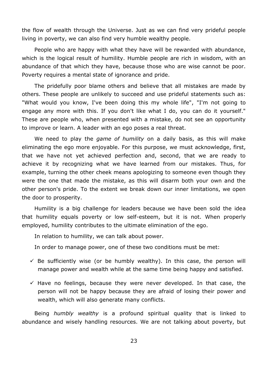the flow of wealth through the Universe. Just as we can find very prideful people living in poverty, we can also find very humble wealthy people.

People who are happy with what they have will be rewarded with abundance, which is the logical result of humility. Humble people are rich in wisdom, with an abundance of that which they have, because those who are wise cannot be poor. Poverty requires a mental state of ignorance and pride.

The pridefully poor blame others and believe that all mistakes are made by others. These people are unlikely to succeed and use prideful statements such as: "What would you know, I've been doing this my whole life", "I'm not going to engage any more with this. If you don't like what I do, you can do it yourself." These are people who, when presented with a mistake, do not see an opportunity to improve or learn. A leader with an ego poses a real threat.

We need to play the *game of humility* on a daily basis, as this will make eliminating the ego more enjoyable. For this purpose, we must acknowledge, first, that we have not yet achieved perfection and, second, that we are ready to achieve it by recognizing what we have learned from our mistakes. Thus, for example, turning the other cheek means apologizing to someone even though they were the one that made the mistake, as this will disarm both your own and the other person's pride. To the extent we break down our inner limitations, we open the door to prosperity.

Humility is a big challenge for leaders because we have been sold the idea that humility equals poverty or low self-esteem, but it is not. When properly employed, humility contributes to the ultimate elimination of the ego.

In relation to humility, we can talk about power.

In order to manage power, one of these two conditions must be met:

- $\checkmark$  Be sufficiently wise (or be humbly wealthy). In this case, the person will manage power and wealth while at the same time being happy and satisfied.
- $\checkmark$  Have no feelings, because they were never developed. In that case, the person will not be happy because they are afraid of losing their power and wealth, which will also generate many conflicts.

Being *humbly wealthy* is a profound spiritual quality that is linked to abundance and wisely handling resources. We are not talking about poverty, but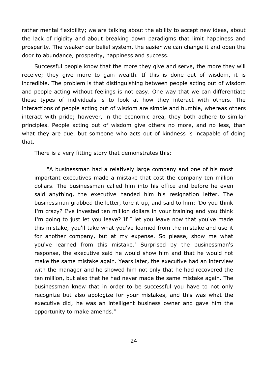rather mental flexibility; we are talking about the ability to accept new ideas, about the lack of rigidity and about breaking down paradigms that limit happiness and prosperity. The weaker our belief system, the easier we can change it and open the door to abundance, prosperity, happiness and success.

Successful people know that the more they give and serve, the more they will receive; they give more to gain wealth. If this is done out of wisdom, it is incredible. The problem is that distinguishing between people acting out of wisdom and people acting without feelings is not easy. One way that we can differentiate these types of individuals is to look at how they interact with others. The interactions of people acting out of wisdom are simple and humble, whereas others interact with pride; however, in the economic area, they both adhere to similar principles. People acting out of wisdom give others no more, and no less, than what they are due, but someone who acts out of kindness is incapable of doing that.

There is a very fitting story that demonstrates this:

"A businessman had a relatively large company and one of his most important executives made a mistake that cost the company ten million dollars. The businessman called him into his office and before he even said anything, the executive handed him his resignation letter. The businessman grabbed the letter, tore it up, and said to him: 'Do you think I'm crazy? I've invested ten million dollars in your training and you think I'm going to just let you leave? If I let you leave now that you've made this mistake, you'll take what you've learned from the mistake and use it for another company, but at my expense. So please, show me what you've learned from this mistake.' Surprised by the businessman's response, the executive said he would show him and that he would not make the same mistake again. Years later, the executive had an interview with the manager and he showed him not only that he had recovered the ten million, but also that he had never made the same mistake again. The businessman knew that in order to be successful you have to not only recognize but also apologize for your mistakes, and this was what the executive did; he was an intelligent business owner and gave him the opportunity to make amends."

24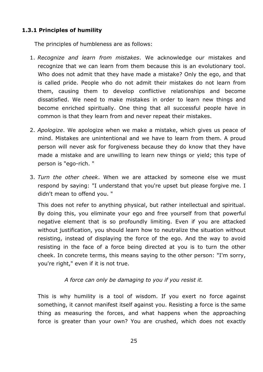## **1.3.1 Principles of humility**

The principles of humbleness are as follows:

- 1. *Recognize and learn from mistakes*. We acknowledge our mistakes and recognize that we can learn from them because this is an evolutionary tool. Who does not admit that they have made a mistake? Only the ego, and that is called pride. People who do not admit their mistakes do not learn from them, causing them to develop conflictive relationships and become dissatisfied. We need to make mistakes in order to learn new things and become enriched spiritually. One thing that all successful people have in common is that they learn from and never repeat their mistakes.
- 2. *Apologize*. We apologize when we make a mistake, which gives us peace of mind. Mistakes are unintentional and we have to learn from them. A proud person will never ask for forgiveness because they do know that they have made a mistake and are unwilling to learn new things or yield; this type of person is "ego-rich. "
- 3. *Turn the other cheek*. When we are attacked by someone else we must respond by saying: "I understand that you're upset but please forgive me. I didn't mean to offend you. "

This does not refer to anything physical, but rather intellectual and spiritual. By doing this, you eliminate your ego and free yourself from that powerful negative element that is so profoundly limiting. Even if you are attacked without justification, you should learn how to neutralize the situation without resisting, instead of displaying the force of the ego. And the way to avoid resisting in the face of a force being directed at you is to turn the other cheek. In concrete terms, this means saying to the other person: "I'm sorry, you're right," even if it is not true.

## *A force can only be damaging to you if you resist it.*

This is why humility is a tool of wisdom. If you exert no force against something, it cannot manifest itself against you. Resisting a force is the same thing as measuring the forces, and what happens when the approaching force is greater than your own? You are crushed, which does not exactly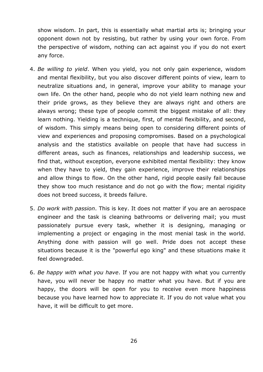show wisdom. In part, this is essentially what martial arts is; bringing your opponent down not by resisting, but rather by using your own force. From the perspective of wisdom, nothing can act against you if you do not exert any force.

- 4. *Be willing to yield*. When you yield, you not only gain experience, wisdom and mental flexibility, but you also discover different points of view, learn to neutralize situations and, in general, improve your ability to manage your own life. On the other hand, people who do not yield learn nothing new and their pride grows, as they believe they are always right and others are always wrong; these type of people commit the biggest mistake of all: they learn nothing. Yielding is a technique, first, of mental flexibility, and second, of wisdom. This simply means being open to considering different points of view and experiences and proposing compromises. Based on a psychological analysis and the statistics available on people that have had success in different areas, such as finances, relationships and leadership success, we find that, without exception, everyone exhibited mental flexibility: they know when they have to yield, they gain experience, improve their relationships and allow things to flow. On the other hand, rigid people easily fail because they show too much resistance and do not go with the flow; mental rigidity does not breed success, it breeds failure.
- 5. *Do work with passion*. This is key. It does not matter if you are an aerospace engineer and the task is cleaning bathrooms or delivering mail; you must passionately pursue every task, whether it is designing, managing or implementing a project or engaging in the most menial task in the world. Anything done with passion will go well. Pride does not accept these situations because it is the "powerful ego king" and these situations make it feel downgraded.
- 6. *Be happy with what you have*. If you are not happy with what you currently have, you will never be happy no matter what you have. But if you are happy, the doors will be open for you to receive even more happiness because you have learned how to appreciate it. If you do not value what you have, it will be difficult to get more.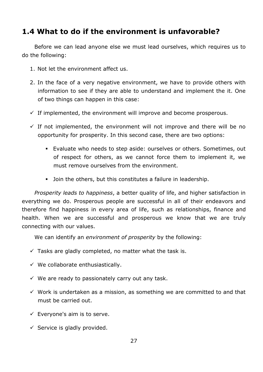# **1.4 What to do if the environment is unfavorable?**

Before we can lead anyone else we must lead ourselves, which requires us to do the following:

- 1. Not let the environment affect us.
- 2. In the face of a very negative environment, we have to provide others with information to see if they are able to understand and implement the it. One of two things can happen in this case:
- $\checkmark$  If implemented, the environment will improve and become prosperous.
- $\checkmark$  If not implemented, the environment will not improve and there will be no opportunity for prosperity. In this second case, there are two options:
	- Evaluate who needs to step aside: ourselves or others. Sometimes, out of respect for others, as we cannot force them to implement it, we must remove ourselves from the environment.
	- Join the others, but this constitutes a failure in leadership.

*Prosperity leads to happiness*, a better quality of life, and higher satisfaction in everything we do. Prosperous people are successful in all of their endeavors and therefore find happiness in every area of life, such as relationships, finance and health. When we are successful and prosperous we know that we are truly connecting with our values.

We can identify an *environment of prosperity* by the following:

- $\checkmark$  Tasks are gladly completed, no matter what the task is.
- $\checkmark$  We collaborate enthusiastically.
- $\checkmark$  We are ready to passionately carry out any task.
- $\checkmark$  Work is undertaken as a mission, as something we are committed to and that must be carried out.
- $\checkmark$  Everyone's aim is to serve.
- $\checkmark$  Service is gladly provided.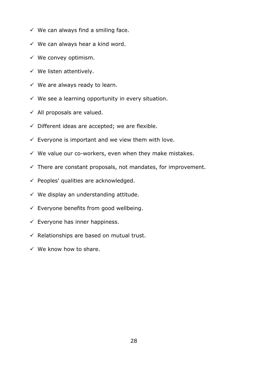- $\checkmark$  We can always find a smiling face.
- $\checkmark$  We can always hear a kind word.
- $\checkmark$  We convey optimism.
- $\checkmark$  We listen attentively.
- $\checkmark$  We are always ready to learn.
- $\checkmark$  We see a learning opportunity in every situation.
- $\checkmark$  All proposals are valued.
- $\checkmark$  Different ideas are accepted; we are flexible.
- $\checkmark$  Everyone is important and we view them with love.
- $\checkmark$  We value our co-workers, even when they make mistakes.
- $\checkmark$  There are constant proposals, not mandates, for improvement.
- $\checkmark$  Peoples' qualities are acknowledged.
- $\checkmark$  We display an understanding attitude.
- $\checkmark$  Everyone benefits from good wellbeing.
- $\checkmark$  Everyone has inner happiness.
- $\checkmark$  Relationships are based on mutual trust.
- $\checkmark$  We know how to share.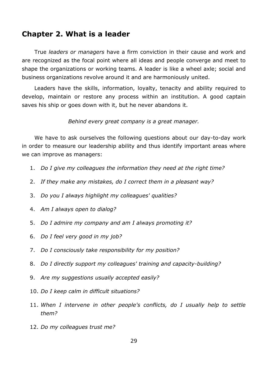## **Chapter 2. What is a leader**

True *leaders or managers* have a firm conviction in their cause and work and are recognized as the focal point where all ideas and people converge and meet to shape the organizations or working teams. A leader is like a wheel axle; social and business organizations revolve around it and are harmoniously united.

Leaders have the skills, information, loyalty, tenacity and ability required to develop, maintain or restore any process within an institution. A good captain saves his ship or goes down with it, but he never abandons it.

*Behind every great company is a great manager.*

We have to ask ourselves the following questions about our day-to-day work in order to measure our leadership ability and thus identify important areas where we can improve as managers:

- 1. *Do I give my colleagues the information they need at the right time?*
- 2. *If they make any mistakes, do I correct them in a pleasant way?*
- 3. *Do you I always highlight my colleagues' qualities?*
- 4. *Am I always open to dialog?*
- 5. *Do I admire my company and am I always promoting it?*
- 6. *Do I feel very good in my job?*
- 7. *Do I consciously take responsibility for my position?*
- 8. *Do I directly support my colleagues' training and capacity-building?*
- 9. *Are my suggestions usually accepted easily?*
- 10. *Do I keep calm in difficult situations?*
- 11. *When I intervene in other people's conflicts, do I usually help to settle them?*
- 12. *Do my colleagues trust me?*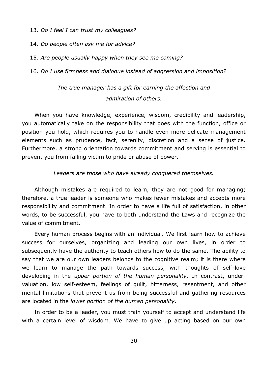- 13. *Do I feel I can trust my colleagues?*
- 14. *Do people often ask me for advice?*
- 15. *Are people usually happy when they see me coming?*

16. *Do I use firmness and dialogue instead of aggression and imposition?*

# *The true manager has a gift for earning the affection and admiration of others.*

When you have knowledge, experience, wisdom, credibility and leadership, you automatically take on the responsibility that goes with the function, office or position you hold, which requires you to handle even more delicate management elements such as prudence, tact, serenity, discretion and a sense of justice. Furthermore, a strong orientation towards commitment and serving is essential to prevent you from falling victim to pride or abuse of power.

#### *Leaders are those who have already conquered themselves.*

Although mistakes are required to learn, they are not good for managing; therefore, a true leader is someone who makes fewer mistakes and accepts more responsibility and commitment. In order to have a life full of satisfaction, in other words, to be successful, you have to both understand the Laws and recognize the value of commitment.

Every human process begins with an individual. We first learn how to achieve success for ourselves, organizing and leading our own lives, in order to subsequently have the authority to teach others how to do the same. The ability to say that we are our own leaders belongs to the cognitive realm; it is there where we learn to manage the path towards success, with thoughts of self-love developing in the *upper portion of the human personality*. In contrast, undervaluation, low self-esteem, feelings of guilt, bitterness, resentment, and other mental limitations that prevent us from being successful and gathering resources are located in the *lower portion of the human personality*.

In order to be a leader, you must train yourself to accept and understand life with a certain level of wisdom. We have to give up acting based on our own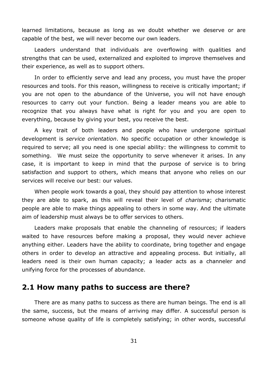learned limitations, because as long as we doubt whether we deserve or are capable of the best, we will never become our own leaders.

Leaders understand that individuals are overflowing with qualities and strengths that can be used, externalized and exploited to improve themselves and their experience, as well as to support others.

In order to efficiently serve and lead any process, you must have the proper resources and tools. For this reason, willingness to receive is critically important; if you are not open to the abundance of the Universe, you will not have enough resources to carry out your function. Being a leader means you are able to recognize that you always have what is right for you and you are open to everything, because by giving your best, you receive the best.

A key trait of both leaders and people who have undergone spiritual development is *service orientation*. No specific occupation or other knowledge is required to serve; all you need is one special ability: the willingness to commit to something. We must seize the opportunity to serve whenever it arises. In any case, it is important to keep in mind that the purpose of service is to bring satisfaction and support to others, which means that anyone who relies on our services will receive our best: our values.

When people work towards a goal, they should pay attention to whose interest they are able to spark, as this will reveal their level of *charisma*; charismatic people are able to make things appealing to others in some way. And the ultimate aim of leadership must always be to offer services to others.

Leaders make proposals that enable the channeling of resources; if leaders waited to have resources before making a proposal, they would never achieve anything either. Leaders have the ability to coordinate, bring together and engage others in order to develop an attractive and appealing process. But initially, all leaders need is their own human capacity; a leader acts as a channeler and unifying force for the processes of abundance.

## **2.1 How many paths to success are there?**

There are as many paths to success as there are human beings. The end is all the same, success, but the means of arriving may differ. A successful person is someone whose quality of life is completely satisfying; in other words, successful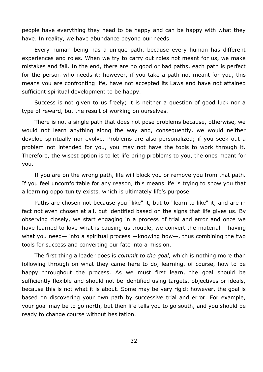people have everything they need to be happy and can be happy with what they have. In reality, we have abundance beyond our needs.

Every human being has a unique path, because every human has different experiences and roles. When we try to carry out roles not meant for us, we make mistakes and fail. In the end, there are no good or bad paths, each path is perfect for the person who needs it; however, if you take a path not meant for you, this means you are confronting life, have not accepted its Laws and have not attained sufficient spiritual development to be happy.

Success is not given to us freely; it is neither a question of good luck nor a type of reward, but the result of working on ourselves.

There is not a single path that does not pose problems because, otherwise, we would not learn anything along the way and, consequently, we would neither develop spiritually nor evolve. Problems are also personalized; if you seek out a problem not intended for you, you may not have the tools to work through it. Therefore, the wisest option is to let life bring problems to you, the ones meant for you.

If you are on the wrong path, life will block you or remove you from that path. If you feel uncomfortable for any reason, this means life is trying to show you that a learning opportunity exists, which is ultimately life's purpose.

Paths are chosen not because you "like" it, but to "learn to like" it, and are in fact not even chosen at all, but identified based on the signs that life gives us. By observing closely, we start engaging in a process of trial and error and once we have learned to love what is causing us trouble, we convert the material —having what you need— into a spiritual process —knowing how—, thus combining the two tools for success and converting our fate into a mission.

The first thing a leader does is *commit to the goal*, which is nothing more than following through on what they came here to do, learning, of course, how to be happy throughout the process. As we must first learn, the goal should be sufficiently flexible and should not be identified using targets, objectives or ideals, because this is not what it is about. Some may be very rigid; however, the goal is based on discovering your own path by successive trial and error. For example, your goal may be to go north, but then life tells you to go south, and you should be ready to change course without hesitation.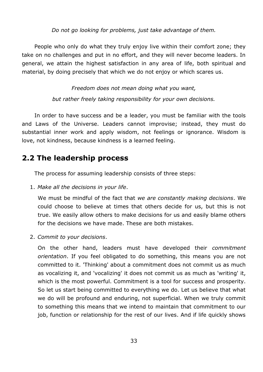## *Do not go looking for problems, just take advantage of them.*

People who only do what they truly enjoy live within their comfort zone; they take on no challenges and put in no effort, and they will never become leaders. In general, we attain the highest satisfaction in any area of life, both spiritual and material, by doing precisely that which we do not enjoy or which scares us.

# *Freedom does not mean doing what you want, but rather freely taking responsibility for your own decisions.*

In order to have success and be a leader, you must be familiar with the tools and Laws of the Universe. Leaders cannot improvise; instead, they must do substantial inner work and apply wisdom, not feelings or ignorance. Wisdom is love, not kindness, because kindness is a learned feeling.

# **2.2 The leadership process**

The process for assuming leadership consists of three steps:

1. *Make all the decisions in your life*.

We must be mindful of the fact that *we are constantly making decisions*. We could choose to believe at times that others decide for us, but this is not true. We easily allow others to make decisions for us and easily blame others for the decisions we have made. These are both mistakes.

2. *Commit to your decisions*.

On the other hand, leaders must have developed their *commitment orientation*. If you feel obligated to do something, this means you are not committed to it. 'Thinking' about a commitment does not commit us as much as vocalizing it, and 'vocalizing' it does not commit us as much as 'writing' it, which is the most powerful. Commitment is a tool for success and prosperity. So let us start being committed to everything we do. Let us believe that what we do will be profound and enduring, not superficial. When we truly commit to something this means that we intend to maintain that commitment to our job, function or relationship for the rest of our lives. And if life quickly shows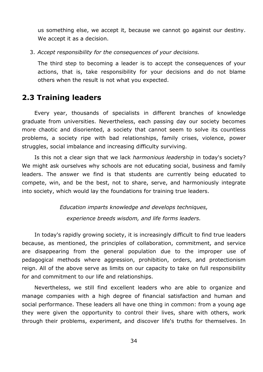us something else, we accept it, because we cannot go against our destiny. We accept it as a decision.

3. *Accept responsibility for the consequences of your decisions.*

The third step to becoming a leader is to accept the consequences of your actions, that is, take responsibility for your decisions and do not blame others when the result is not what you expected.

# **2.3 Training leaders**

Every year, thousands of specialists in different branches of knowledge graduate from universities. Nevertheless, each passing day our society becomes more chaotic and disoriented, a society that cannot seem to solve its countless problems, a society ripe with bad relationships, family crises, violence, power struggles, social imbalance and increasing difficulty surviving.

Is this not a clear sign that we lack *harmonious leadership* in today's society? We might ask ourselves why schools are not educating social, business and family leaders. The answer we find is that students are currently being educated to compete, win, and be the best, not to share, serve, and harmoniously integrate into society, which would lay the foundations for training true leaders.

> *Education imparts knowledge and develops techniques, experience breeds wisdom, and life forms leaders.*

In today's rapidly growing society, it is increasingly difficult to find true leaders because, as mentioned, the principles of collaboration, commitment, and service are disappearing from the general population due to the improper use of pedagogical methods where aggression, prohibition, orders, and protectionism reign. All of the above serve as limits on our capacity to take on full responsibility for and commitment to our life and relationships.

Nevertheless, we still find excellent leaders who are able to organize and manage companies with a high degree of financial satisfaction and human and social performance. These leaders all have one thing in common: from a young age they were given the opportunity to control their lives, share with others, work through their problems, experiment, and discover life's truths for themselves. In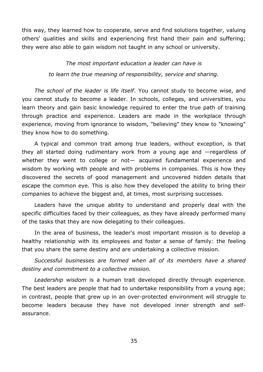this way, they learned how to cooperate, serve and find solutions together, valuing others' qualities and skills and experiencing first hand their pain and suffering; they were also able to gain wisdom not taught in any school or university.

> *The most important education a leader can have is to learn the true meaning of responsibility, service and sharing.*

*The school of the leader is life itself*. You cannot study to become wise, and you cannot study to become a leader. In schools, colleges, and universities, you learn theory and gain basic knowledge required to enter the true path of training through practice and experience. Leaders are made in the workplace through experience, moving from ignorance to wisdom, "believing" they know to "knowing" they know how to do something.

A typical and common trait among true leaders, without exception, is that they all started doing rudimentary work from a young age and —regardless of whether they went to college or not— acquired fundamental experience and wisdom by working with people and with problems in companies. This is how they discovered the secrets of good management and uncovered hidden details that escape the common eye. This is also how they developed the ability to bring their companies to achieve the biggest and, at times, most surprising successes.

Leaders have the unique ability to understand and properly deal with the specific difficulties faced by their colleagues, as they have already performed many of the tasks that they are now delegating to their colleagues.

In the area of business, the leader's most important mission is to develop a healthy relationship with its employees and foster a sense of family: the feeling that you share the same destiny and are undertaking a collective mission.

*Successful businesses are formed when all of its members have a shared destiny and commitment to a collective mission.* 

*Leadership wisdom* is a human trait developed directly through experience. The best leaders are people that had to undertake responsibility from a young age; in contrast, people that grew up in an over-protected environment will struggle to become leaders because they have not developed inner strength and selfassurance.

35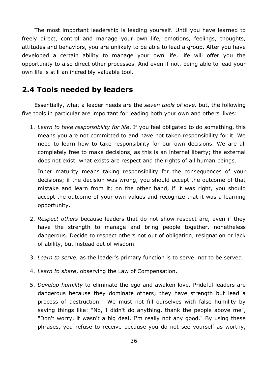The most important leadership is leading yourself. Until you have learned to freely direct, control and manage your own life, emotions, feelings, thoughts, attitudes and behaviors, you are unlikely to be able to lead a group. After you have developed a certain ability to manage your own life, life will offer you the opportunity to also direct other processes. And even if not, being able to lead your own life is still an incredibly valuable tool.

# **2.4 Tools needed by leaders**

Essentially, what a leader needs are the *seven tools of love,* but, the following five tools in particular are important for leading both your own and others' lives:

1. *Learn to take responsibility for life*. If you feel obligated to do something, this means you are not committed to and have not taken responsibility for it. We need to learn how to take responsibility for our own decisions. We are all completely free to make decisions, as this is an internal liberty; the external does not exist, what exists are respect and the rights of all human beings.

Inner maturity means taking responsibility for the consequences of your decisions; if the decision was wrong, you should accept the outcome of that mistake and learn from it; on the other hand, if it was right, you should accept the outcome of your own values and recognize that it was a learning opportunity.

- 2. *Respect others* because leaders that do not show respect are, even if they have the strength to manage and bring people together, nonetheless dangerous. Decide to respect others not out of obligation, resignation or lack of ability, but instead out of wisdom.
- 3. *Learn to serve*, as the leader's primary function is to serve, not to be served.
- 4. *Learn to share*, observing the Law of Compensation.
- 5. *Develop humility* to eliminate the ego and awaken love. Prideful leaders are dangerous because they dominate others; they have strength but lead a process of destruction. We must not fill ourselves with false humility by saying things like: "No, I didn't do anything, thank the people above me", "Don't worry, it wasn't a big deal, I'm really not any good." By using these phrases, you refuse to receive because you do not see yourself as worthy,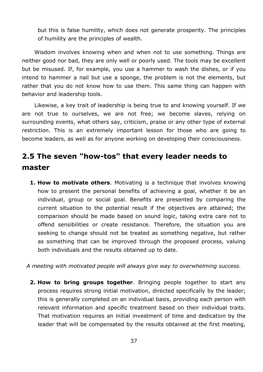but this is false humility, which does not generate prosperity. The principles of humility are the principles of wealth.

Wisdom involves knowing when and when not to use something. Things are neither good nor bad, they are only well or poorly used. The tools may be excellent but be misused. If, for example, you use a hammer to wash the dishes, or if you intend to hammer a nail but use a sponge, the problem is not the elements, but rather that you do not know how to use them. This same thing can happen with behavior and leadership tools.

Likewise, a key trait of leadership is being true to and knowing yourself. If we are not true to ourselves, we are not free; we become slaves, relying on surrounding events, what others say, criticism, praise or any other type of external restriction. This is an extremely important lesson for those who are going to become leaders, as well as for anyone working on developing their consciousness.

# **2.5 The seven "how-tos" that every leader needs to master**

**1. How to motivate others**. Motivating is a technique that involves knowing how to present the personal benefits of achieving a goal, whether it be an individual, group or social goal. Benefits are presented by comparing the current situation to the potential result if the objectives are attained; the comparison should be made based on sound logic, taking extra care not to offend sensibilities or create resistance. Therefore, the situation you are seeking to change should not be treated as something negative, but rather as something that can be improved through the proposed process, valuing both individuals and the results obtained up to date.

*A meeting with motivated people will always give way to overwhelming success.*

**2. How to bring groups together**. Bringing people together to start any process requires strong initial motivation, directed specifically by the leader; this is generally completed on an individual basis, providing each person with relevant information and specific treatment based on their individual traits. That motivation requires an initial investment of time and dedication by the leader that will be compensated by the results obtained at the first meeting,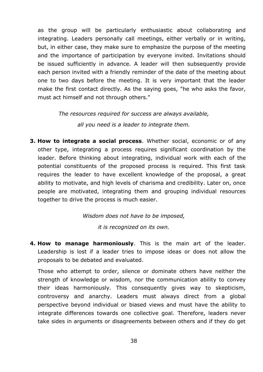as the group will be particularly enthusiastic about collaborating and integrating. Leaders personally call meetings, either verbally or in writing, but, in either case, they make sure to emphasize the purpose of the meeting and the importance of participation by everyone invited. Invitations should be issued sufficiently in advance. A leader will then subsequently provide each person invited with a friendly reminder of the date of the meeting about one to two days before the meeting. It is very important that the leader make the first contact directly. As the saying goes, "he who asks the favor, must act himself and not through others."

*The resources required for success are always available, all you need is a leader to integrate them.* 

**3. How to integrate a social process**. Whether social, economic or of any other type, integrating a process requires significant coordination by the leader. Before thinking about integrating, individual work with each of the potential constituents of the proposed process is required. This first task requires the leader to have excellent knowledge of the proposal, a great ability to motivate, and high levels of charisma and credibility. Later on, once people are motivated, integrating them and grouping individual resources together to drive the process is much easier.

> *Wisdom does not have to be imposed, it is recognized on its own.*

**4. How to manage harmoniously**. This is the main art of the leader. Leadership is lost if a leader tries to impose ideas or does not allow the proposals to be debated and evaluated.

Those who attempt to order, silence or dominate others have neither the strength of knowledge or wisdom, nor the communication ability to convey their ideas harmoniously. This consequently gives way to skepticism, controversy and anarchy. Leaders must always direct from a global perspective beyond individual or biased views and must have the ability to integrate differences towards one collective goal. Therefore, leaders never take sides in arguments or disagreements between others and if they do get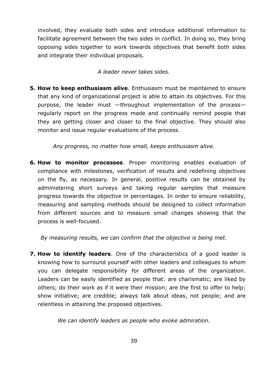involved, they evaluate both sides and introduce additional information to facilitate agreement between the two sides in conflict. In doing so, they bring opposing sides together to work towards objectives that benefit both sides and integrate their individual proposals.

## *A leader never takes sides.*

**5. How to keep enthusiasm alive**. Enthusiasm must be maintained to ensure that any kind of organizational project is able to attain its objectives. For this purpose, the leader must —throughout implementation of the process regularly report on the progress made and continually remind people that they are getting closer and closer to the final objective. They should also monitor and issue regular evaluations of the process.

*Any progress, no matter how small, keeps enthusiasm alive.* 

**6. How to monitor processes**. Proper monitoring enables evaluation of compliance with milestones, verification of results and redefining objectives on the fly, as necessary. In general, positive results can be obtained by administering short surveys and taking regular samples that measure progress towards the objective in percentages. In order to ensure reliability, measuring and sampling methods should be designed to collect information from different sources and to measure small changes showing that the process is well-focused.

*By measuring results, we can confirm that the objective is being met.* 

**7. How to identify leaders**. One of the characteristics of a good leader is knowing how to surround yourself with other leaders and colleagues to whom you can delegate responsibility for different areas of the organization. Leaders can be easily identified as people that: are charismatic; are liked by others; do their work as if it were their mission; are the first to offer to help; show initiative; are credible; always talk about ideas, not people; and are relentless in attaining the proposed objectives.

*We can identify leaders as people who evoke admiration.*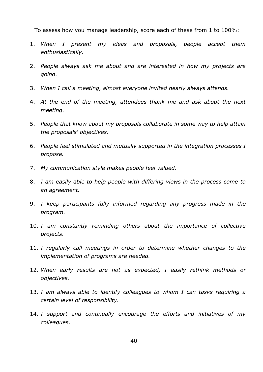To assess how you manage leadership, score each of these from 1 to 100%:

- 1. *When I present my ideas and proposals, people accept them enthusiastically.*
- 2. *People always ask me about and are interested in how my projects are going.*
- 3. *When I call a meeting, almost everyone invited nearly always attends.*
- 4. *At the end of the meeting, attendees thank me and ask about the next meeting.*
- 5. *People that know about my proposals collaborate in some way to help attain the proposals' objectives.*
- 6. *People feel stimulated and mutually supported in the integration processes I propose.*
- 7. *My communication style makes people feel valued.*
- 8. *I am easily able to help people with differing views in the process come to an agreement.*
- 9. *I keep participants fully informed regarding any progress made in the program.*
- 10. *I am constantly reminding others about the importance of collective projects.*
- 11. *I regularly call meetings in order to determine whether changes to the implementation of programs are needed.*
- 12. *When early results are not as expected, I easily rethink methods or objectives.*
- 13. *I am always able to identify colleagues to whom I can tasks requiring a certain level of responsibility.*
- 14. *I support and continually encourage the efforts and initiatives of my colleagues.*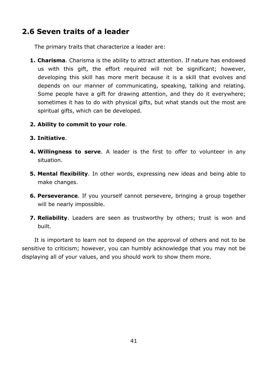# **2.6 Seven traits of a leader**

The primary traits that characterize a leader are:

- **1. Charisma**. Charisma is the ability to attract attention. If nature has endowed us with this gift, the effort required will not be significant; however, developing this skill has more merit because it is a skill that evolves and depends on our manner of communicating, speaking, talking and relating. Some people have a gift for drawing attention, and they do it everywhere; sometimes it has to do with physical gifts, but what stands out the most are spiritual gifts, which can be developed.
- **2. Ability to commit to your role**.

## **3. Initiative**.

- **4. Willingness to serve**. A leader is the first to offer to volunteer in any situation.
- **5. Mental flexibility**. In other words, expressing new ideas and being able to make changes.
- **6. Perseverance**. If you yourself cannot persevere, bringing a group together will be nearly impossible.
- **7. Reliability**. Leaders are seen as trustworthy by others; trust is won and built.

It is important to learn not to depend on the approval of others and not to be sensitive to criticism; however, you can humbly acknowledge that you may not be displaying all of your values, and you should work to show them more.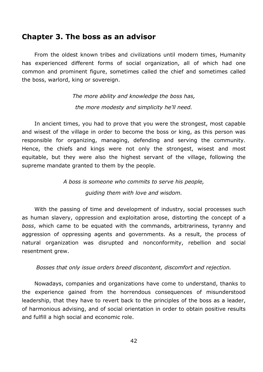## **Chapter 3. The boss as an advisor**

From the oldest known tribes and civilizations until modern times, Humanity has experienced different forms of social organization, all of which had one common and prominent figure, sometimes called the chief and sometimes called the boss, warlord, king or sovereign.

> *The more ability and knowledge the boss has, the more modesty and simplicity he'll need.*

In ancient times, you had to prove that you were the strongest, most capable and wisest of the village in order to become the boss or king, as this person was responsible for organizing, managing, defending and serving the community. Hence, the chiefs and kings were not only the strongest, wisest and most equitable, but they were also the highest servant of the village, following the supreme mandate granted to them by the people.

> *A boss is someone who commits to serve his people, guiding them with love and wisdom.*

With the passing of time and development of industry, social processes such as human slavery, oppression and exploitation arose, distorting the concept of a *boss*, which came to be equated with the commands, arbitrariness, tyranny and aggression of oppressing agents and governments. As a result, the process of natural organization was disrupted and nonconformity, rebellion and social resentment grew.

*Bosses that only issue orders breed discontent, discomfort and rejection.* 

Nowadays, companies and organizations have come to understand, thanks to the experience gained from the horrendous consequences of misunderstood leadership, that they have to revert back to the principles of the boss as a leader, of harmonious advising, and of social orientation in order to obtain positive results and fulfill a high social and economic role.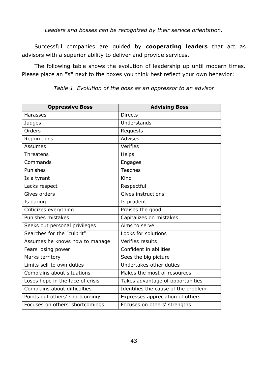*Leaders and bosses can be recognized by their service orientation.* 

Successful companies are guided by **cooperating leaders** that act as advisors with a superior ability to deliver and provide services.

The following table shows the evolution of leadership up until modern times. Please place an "X" next to the boxes you think best reflect your own behavior:

| <b>Oppressive Boss</b>           | <b>Advising Boss</b>                |
|----------------------------------|-------------------------------------|
| <b>Harasses</b>                  | <b>Directs</b>                      |
| <b>Judges</b>                    | Understands                         |
| Orders                           | Requests                            |
| Reprimands                       | <b>Advises</b>                      |
| <b>Assumes</b>                   | Verifies                            |
| Threatens                        | Helps                               |
| Commands                         | Engages                             |
| Punishes                         | <b>Teaches</b>                      |
| Is a tyrant                      | Kind                                |
| Lacks respect                    | Respectful                          |
| Gives orders                     | Gives instructions                  |
| Is daring                        | Is prudent                          |
| Criticizes everything            | Praises the good                    |
| Punishes mistakes                | Capitalizes on mistakes             |
| Seeks out personal privileges    | Aims to serve                       |
| Searches for the "culprit"       | Looks for solutions                 |
| Assumes he knows how to manage   | Verifies results                    |
| Fears losing power               | Confident in abilities              |
| Marks territory                  | Sees the big picture                |
| Limits self to own duties        | Undertakes other duties             |
| Complains about situations       | Makes the most of resources         |
| Loses hope in the face of crisis | Takes advantage of opportunities    |
| Complains about difficulties     | Identifies the cause of the problem |
| Points out others' shortcomings  | Expresses appreciation of others    |
| Focuses on others' shortcomings  | Focuses on others' strengths        |

*Table 1. Evolution of the boss as an oppressor to an advisor*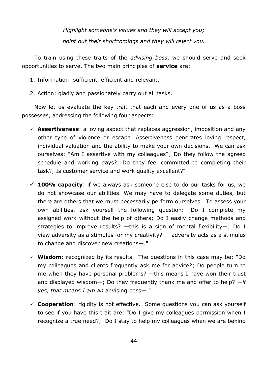*Highlight someone's values and they will accept you; point out their shortcomings and they will reject you.* 

To train using these traits of the *advising boss*, we should serve and seek opportunities to serve. The two main principles of **service** are:

- 1. Information: sufficient, efficient and relevant.
- 2. Action: gladly and passionately carry out all tasks.

Now let us evaluate the key trait that each and every one of us as a boss possesses, addressing the following four aspects:

- **Assertiveness**: a loving aspect that replaces aggression, imposition and any other type of violence or escape. Assertiveness generates loving respect, individual valuation and the ability to make your own decisions. We can ask ourselves: "Am I assertive with my colleagues?; Do they follow the agreed schedule and working days?; Do they feel committed to completing their task?; Is customer service and work quality excellent?"
- **100% capacity**: if we always ask someone else to do our tasks for us, we do not showcase our abilities. We may have to delegate some duties, but there are others that we must necessarily perform ourselves. To assess your own abilities, ask yourself the following question: "Do I complete my assigned work without the help of others; Do I easily change methods and strategies to improve results? —this is a sign of mental flexibility—; Do I view adversity as a stimulus for my creativity? —adversity acts as a stimulus to change and discover new creations—."
- $\checkmark$  **Wisdom**: recognized by its results. The questions in this case may be: "Do my colleagues and clients frequently ask me for advice?; Do people turn to me when they have personal problems? —this means I have won their trust and displayed wisdom—; Do they frequently thank me and offer to help? *—if yes, that means I am an* advising boss—."
- **Cooperation**: rigidity is not effective. Some questions you can ask yourself to see if you have this trait are: "Do I give my colleagues permission when I recognize a true need?; Do I stay to help my colleagues when we are behind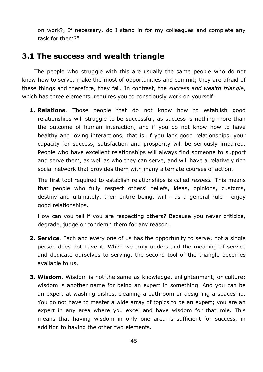on work?; If necessary, do I stand in for my colleagues and complete any task for them?"

# **3.1 The success and wealth triangle**

The people who struggle with this are usually the same people who do not know how to serve, make the most of opportunities and commit; they are afraid of these things and therefore, they fail. In contrast, the *success and wealth triangle*, which has three elements, requires you to consciously work on yourself:

**1. Relations**. Those people that do not know how to establish good relationships will struggle to be successful, as success is nothing more than the outcome of human interaction, and if you do not know how to have healthy and loving interactions, that is, if you lack good relationships, your capacity for success, satisfaction and prosperity will be seriously impaired. People who have excellent relationships will always find someone to support and serve them, as well as who they can serve, and will have a relatively rich social network that provides them with many alternate courses of action.

The first tool required to establish relationships is called *respect*. This means that people who fully respect others' beliefs, ideas, opinions, customs, destiny and ultimately, their entire being, will - as a general rule - enjoy good relationships.

How can you tell if you are respecting others? Because you never criticize, degrade, judge or condemn them for any reason.

- **2. Service**. Each and every one of us has the opportunity to serve; not a single person does not have it. When we truly understand the meaning of service and dedicate ourselves to serving, the second tool of the triangle becomes available to us.
- **3. Wisdom**. Wisdom is not the same as knowledge, enlightenment, or culture; wisdom is another name for being an expert in something. And you can be an expert at washing dishes, cleaning a bathroom or designing a spaceship. You do not have to master a wide array of topics to be an expert; you are an expert in any area where you excel and have wisdom for that role. This means that having wisdom in only one area is sufficient for success, in addition to having the other two elements.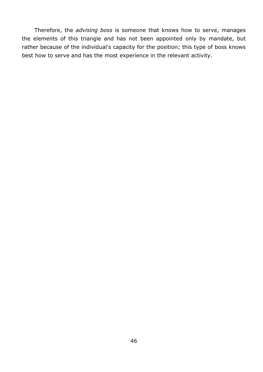Therefore, the *advising boss* is someone that knows how to serve, manages the elements of this triangle and has not been appointed only by mandate, but rather because of the individual's capacity for the position; this type of boss knows best how to serve and has the most experience in the relevant activity.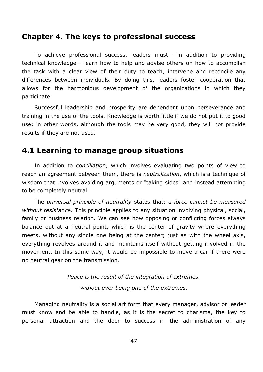## **Chapter 4. The keys to professional success**

To achieve professional success, leaders must —in addition to providing technical knowledge— learn how to help and advise others on how to accomplish the task with a clear view of their duty to teach, intervene and reconcile any differences between individuals. By doing this, leaders foster cooperation that allows for the harmonious development of the organizations in which they participate.

Successful leadership and prosperity are dependent upon perseverance and training in the use of the tools. Knowledge is worth little if we do not put it to good use; in other words, although the tools may be very good, they will not provide results if they are not used.

## **4.1 Learning to manage group situations**

In addition to *conciliation*, which involves evaluating two points of view to reach an agreement between them, there is *neutralization*, which is a technique of wisdom that involves avoiding arguments or "taking sides" and instead attempting to be completely neutral.

The *universal principle of neutrality* states that: *a force cannot be measured without resistance*. This principle applies to any situation involving physical, social, family or business relation. We can see how opposing or conflicting forces always balance out at a neutral point, which is the center of gravity where everything meets, without any single one being at the center; just as with the wheel axis, everything revolves around it and maintains itself without getting involved in the movement. In this same way, it would be impossible to move a car if there were no neutral gear on the transmission.

> *Peace is the result of the integration of extremes, without ever being one of the extremes.*

Managing neutrality is a social art form that every manager, advisor or leader must know and be able to handle, as it is the secret to charisma, the key to personal attraction and the door to success in the administration of any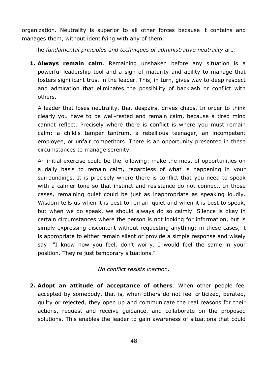organization. Neutrality is superior to all other forces because it contains and manages them, without identifying with any of them.

The *fundamental principles and techniques of administrative neutrality* are:

**1. Always remain calm**. Remaining unshaken before any situation is a powerful leadership tool and a sign of maturity and ability to manage that fosters significant trust in the leader. This, in turn, gives way to deep respect and admiration that eliminates the possibility of backlash or conflict with others.

A leader that loses neutrality, that despairs, drives chaos. In order to think clearly you have to be well-rested and remain calm, because a tired mind cannot reflect. Precisely where there is conflict is where you must remain calm: a child's temper tantrum, a rebellious teenager, an incompetent employee, or unfair competitors. There is an opportunity presented in these circumstances to manage serenity.

An initial exercise could be the following: make the most of opportunities on a daily basis to remain calm, regardless of what is happening in your surroundings. It is precisely where there is conflict that you need to speak with a calmer tone so that instinct and resistance do not connect. In those cases, remaining quiet could be just as inappropriate as speaking loudly. Wisdom tells us when it is best to remain quiet and when it is best to speak, but when we do speak, we should always do so calmly. Silence is okay in certain circumstances where the person is not looking for information, but is simply expressing discontent without requesting anything; in these cases, it is appropriate to either remain silent or provide a simple response and wisely say: "I know how you feel, don't worry. I would feel the same in your position. They're just temporary situations."

## *No conflict resists inaction.*

**2. Adopt an attitude of acceptance of others**. When other people feel accepted by somebody, that is, when others do not feel criticized, berated, guilty or rejected, they open up and communicate the real reasons for their actions, request and receive guidance, and collaborate on the proposed solutions. This enables the leader to gain awareness of situations that could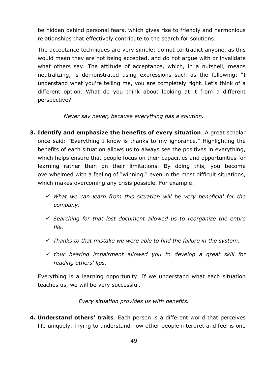be hidden behind personal fears, which gives rise to friendly and harmonious relationships that effectively contribute to the search for solutions.

The acceptance techniques are very simple: do not contradict anyone, as this would mean they are not being accepted, and do not argue with or invalidate what others say. The attitude of acceptance, which, in a nutshell, means neutralizing, is demonstrated using expressions such as the following: "I understand what you're telling me, you are completely right. Let's think of a different option. What do you think about looking at it from a different perspective?"

*Never say never, because everything has a solution.* 

- **3. Identify and emphasize the benefits of every situation**. A great scholar once said: "Everything I know is thanks to my ignorance." Highlighting the benefits of each situation allows us to always see the positives in everything, which helps ensure that people focus on their capacities and opportunities for learning rather than on their limitations. By doing this, you become overwhelmed with a feeling of "winning," even in the most difficult situations, which makes overcoming any crisis possible. For example:
	- *What we can learn from this situation will be very beneficial for the company.*
	- *Searching for that lost document allowed us to reorganize the entire file.*
	- *Thanks to that mistake we were able to find the failure in the system.*
	- *Your hearing impairment allowed you to develop a great skill for reading others' lips.*

Everything is a learning opportunity. If we understand what each situation teaches us, we will be very successful.

*Every situation provides us with benefits.* 

**4. Understand others' traits**. Each person is a different world that perceives life uniquely. Trying to understand how other people interpret and feel is one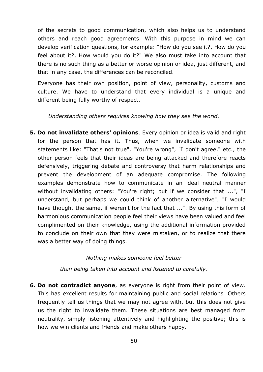of the secrets to good communication, which also helps us to understand others and reach good agreements. With this purpose in mind we can develop verification questions, for example: "How do you see it?, How do you feel about it?, How would you do it?" We also must take into account that there is no such thing as a better or worse opinion or idea, just different, and that in any case, the differences can be reconciled.

Everyone has their own position, point of view, personality, customs and culture. We have to understand that every individual is a unique and different being fully worthy of respect.

*Understanding others requires knowing how they see the world.* 

**5. Do not invalidate others' opinions**. Every opinion or idea is valid and right for the person that has it. Thus, when we invalidate someone with statements like: "That's not true", "You're wrong", "I don't agree," etc., the other person feels that their ideas are being attacked and therefore reacts defensively, triggering debate and controversy that harm relationships and prevent the development of an adequate compromise. The following examples demonstrate how to communicate in an ideal neutral manner without invalidating others: "You're right; but if we consider that ...", "I understand, but perhaps we could think of another alternative", "I would have thought the same, if weren't for the fact that ...". By using this form of harmonious communication people feel their views have been valued and feel complimented on their knowledge, using the additional information provided to conclude on their own that they were mistaken, or to realize that there was a better way of doing things.

#### *Nothing makes someone feel better*

*than being taken into account and listened to carefully.* 

**6. Do not contradict anyone**, as everyone is right from their point of view. This has excellent results for maintaining public and social relations. Others frequently tell us things that we may not agree with, but this does not give us the right to invalidate them. These situations are best managed from neutrality, simply listening attentively and highlighting the positive; this is how we win clients and friends and make others happy.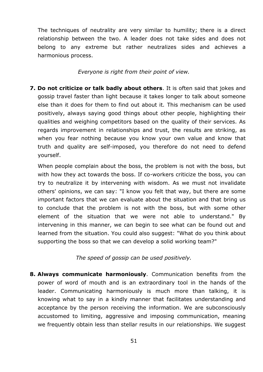The techniques of neutrality are very similar to humility; there is a direct relationship between the two. A leader does not take sides and does not belong to any extreme but rather neutralizes sides and achieves a harmonious process.

*Everyone is right from their point of view.* 

**7. Do not criticize or talk badly about others**. It is often said that jokes and gossip travel faster than light because it takes longer to talk about someone else than it does for them to find out about it*.* This mechanism can be used positively, always saying good things about other people, highlighting their qualities and weighing competitors based on the quality of their services. As regards improvement in relationships and trust, the results are striking, as when you fear nothing because you know your own value and know that truth and quality are self-imposed, you therefore do not need to defend yourself.

When people complain about the boss, the problem is not with the boss, but with how they act towards the boss. If co-workers criticize the boss, you can try to neutralize it by intervening with wisdom. As we must not invalidate others' opinions, we can say: "I know you felt that way, but there are some important factors that we can evaluate about the situation and that bring us to conclude that the problem is not with the boss, but with some other element of the situation that we were not able to understand." By intervening in this manner, we can begin to see what can be found out and learned from the situation. You could also suggest: "What do you think about supporting the boss so that we can develop a solid working team?"

*The speed of gossip can be used positively.*

**8. Always communicate harmoniously**. Communication benefits from the power of word of mouth and is an extraordinary tool in the hands of the leader. Communicating harmoniously is much more than talking, it is knowing what to say in a kindly manner that facilitates understanding and acceptance by the person receiving the information. We are subconsciously accustomed to limiting, aggressive and imposing communication, meaning we frequently obtain less than stellar results in our relationships. We suggest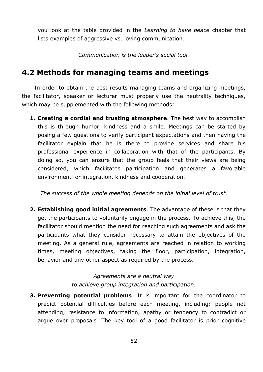you look at the table provided in the *Learning to have peace* chapter that lists examples of aggressive vs. loving communication.

*Communication is the leader's social tool.* 

## **4.2 Methods for managing teams and meetings**

In order to obtain the best results managing teams and organizing meetings, the facilitator, speaker or lecturer must properly use the neutrality techniques, which may be supplemented with the following methods:

**1. Creating a cordial and trusting atmosphere**. The best way to accomplish this is through humor, kindness and a smile. Meetings can be started by posing a few questions to verify participant expectations and then having the facilitator explain that he is there to provide services and share his professional experience in collaboration with that of the participants. By doing so, you can ensure that the group feels that their views are being considered, which facilitates participation and generates a favorable environment for integration, kindness and cooperation.

*The success of the whole meeting depends on the initial level of trust.* 

**2. Establishing good initial agreements**. The advantage of these is that they get the participants to voluntarily engage in the process. To achieve this, the facilitator should mention the need for reaching such agreements and ask the participants what they consider necessary to attain the objectives of the meeting. As a general rule, agreements are reached in relation to working times, meeting objectives, taking the floor, participation, integration, behavior and any other aspect as required by the process.

> *Agreements are a neutral way to achieve group integration and participation.*

**3. Preventing potential problems**. It is important for the coordinator to predict potential difficulties before each meeting, including: people not attending, resistance to information, apathy or tendency to contradict or argue over proposals. The key tool of a good facilitator is prior cognitive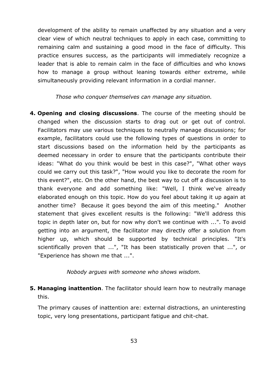development of the ability to remain unaffected by any situation and a very clear view of which neutral techniques to apply in each case, committing to remaining calm and sustaining a good mood in the face of difficulty. This practice ensures success, as the participants will immediately recognize a leader that is able to remain calm in the face of difficulties and who knows how to manage a group without leaning towards either extreme, while simultaneously providing relevant information in a cordial manner.

#### *Those who conquer themselves can manage any situation.*

**4. Opening and closing discussions**. The course of the meeting should be changed when the discussion starts to drag out or get out of control. Facilitators may use various techniques to neutrally manage discussions; for example, facilitators could use the following types of questions in order to start discussions based on the information held by the participants as deemed necessary in order to ensure that the participants contribute their ideas: "What do you think would be best in this case?", "What other ways could we carry out this task?", "How would you like to decorate the room for this event?", etc. On the other hand, the best way to cut off a discussion is to thank everyone and add something like: "Well, I think we've already elaborated enough on this topic. How do you feel about taking it up again at another time? Because it goes beyond the aim of this meeting." Another statement that gives excellent results is the following: "We'll address this topic in depth later on, but for now why don't we continue with ...". To avoid getting into an argument, the facilitator may directly offer a solution from higher up, which should be supported by technical principles. "It's scientifically proven that ...", "It has been statistically proven that ...", or "Experience has shown me that ...".

*Nobody argues with someone who shows wisdom.*

**5. Managing inattention**. The facilitator should learn how to neutrally manage this.

The primary causes of inattention are: external distractions, an uninteresting topic, very long presentations, participant fatigue and chit-chat.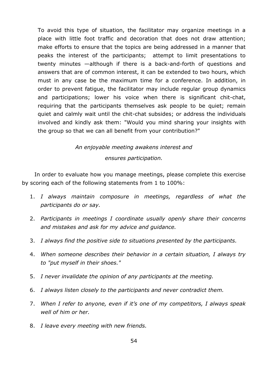To avoid this type of situation, the facilitator may organize meetings in a place with little foot traffic and decoration that does not draw attention; make efforts to ensure that the topics are being addressed in a manner that peaks the interest of the participants; attempt to limit presentations to twenty minutes —although if there is a back-and-forth of questions and answers that are of common interest, it can be extended to two hours, which must in any case be the maximum time for a conference. In addition, in order to prevent fatigue, the facilitator may include regular group dynamics and participations; lower his voice when there is significant chit-chat, requiring that the participants themselves ask people to be quiet; remain quiet and calmly wait until the chit-chat subsides; or address the individuals involved and kindly ask them: "Would you mind sharing your insights with the group so that we can all benefit from your contribution?"

# *An enjoyable meeting awakens interest and ensures participation.*

In order to evaluate how you manage meetings, please complete this exercise by scoring each of the following statements from 1 to 100%:

- 1. *I always maintain composure in meetings, regardless of what the participants do or say.*
- 2. *Participants in meetings I coordinate usually openly share their concerns and mistakes and ask for my advice and guidance.*
- 3. *I always find the positive side to situations presented by the participants.*
- 4. *When someone describes their behavior in a certain situation, I always try to "put myself in their shoes."*
- 5. *I never invalidate the opinion of any participants at the meeting.*
- 6. *I always listen closely to the participants and never contradict them.*
- 7. *When I refer to anyone, even if it's one of my competitors, I always speak well of him or her.*
- 8. *I leave every meeting with new friends.*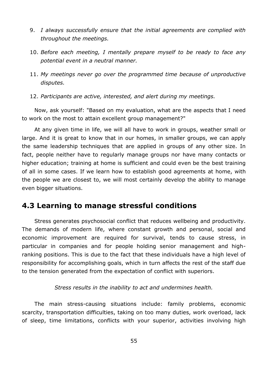- 9. *I always successfully ensure that the initial agreements are complied with throughout the meetings.*
- 10. *Before each meeting, I mentally prepare myself to be ready to face any potential event in a neutral manner.*
- 11. *My meetings never go over the programmed time because of unproductive disputes.*
- 12. *Participants are active, interested, and alert during my meetings.*

Now, ask yourself: "Based on my evaluation, what are the aspects that I need to work on the most to attain excellent group management?"

At any given time in life, we will all have to work in groups, weather small or large. And it is great to know that in our homes, in smaller groups, we can apply the same leadership techniques that are applied in groups of any other size. In fact, people neither have to regularly manage groups nor have many contacts or higher education; training at home is sufficient and could even be the best training of all in some cases. If we learn how to establish good agreements at home, with the people we are closest to, we will most certainly develop the ability to manage even bigger situations.

## **4.3 Learning to manage stressful conditions**

Stress generates psychosocial conflict that reduces wellbeing and productivity. The demands of modern life, where constant growth and personal, social and economic improvement are required for survival, tends to cause stress, in particular in companies and for people holding senior management and highranking positions. This is due to the fact that these individuals have a high level of responsibility for accomplishing goals, which in turn affects the rest of the staff due to the tension generated from the expectation of conflict with superiors.

*Stress results in the inability to act and undermines health.*

The main stress-causing situations include: family problems, economic scarcity, transportation difficulties, taking on too many duties, work overload, lack of sleep, time limitations, conflicts with your superior, activities involving high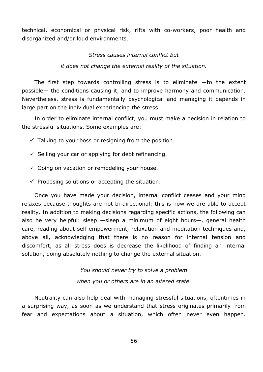technical, economical or physical risk, rifts with co-workers, poor health and disorganized and/or loud environments.

# *Stress causes internal conflict but it does not change the external reality of the situation.*

The first step towards controlling stress is to eliminate  $-$ to the extent possible— the conditions causing it, and to improve harmony and communication. Nevertheless, stress is fundamentally psychological and managing it depends in large part on the individual experiencing the stress.

In order to eliminate internal conflict, you must make a decision in relation to the stressful situations. Some examples are:

- $\checkmark$  Talking to your boss or resigning from the position.
- $\checkmark$  Selling your car or applying for debt refinancing.
- $\checkmark$  Going on vacation or remodeling your house.
- $\checkmark$  Proposing solutions or accepting the situation.

Once you have made your decision, internal conflict ceases and your mind relaxes because thoughts are not bi-directional; this is how we are able to accept reality. In addition to making decisions regarding specific actions, the following can also be very helpful: sleep —sleep a minimum of eight hours—, general health care, reading about self-empowerment, relaxation and meditation techniques and, above all, acknowledging that there is no reason for internal tension and discomfort, as all stress does is decrease the likelihood of finding an internal solution, doing absolutely nothing to change the external situation.

> *You should never try to solve a problem when you or others are in an altered state.*

Neutrality can also help deal with managing stressful situations, oftentimes in a surprising way, as soon as we understand that stress originates primarily from fear and expectations about a situation, which often never even happen.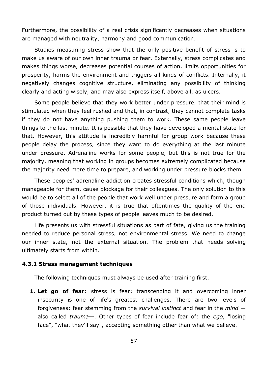Furthermore, the possibility of a real crisis significantly decreases when situations are managed with neutrality, harmony and good communication.

Studies measuring stress show that the only positive benefit of stress is to make us aware of our own inner trauma or fear. Externally, stress complicates and makes things worse, decreases potential courses of action, limits opportunities for prosperity, harms the environment and triggers all kinds of conflicts. Internally, it negatively changes cognitive structure, eliminating any possibility of thinking clearly and acting wisely, and may also express itself, above all, as ulcers.

Some people believe that they work better under pressure, that their mind is stimulated when they feel rushed and that, in contrast, they cannot complete tasks if they do not have anything pushing them to work. These same people leave things to the last minute. It is possible that they have developed a mental state for that. However, this attitude is incredibly harmful for group work because these people delay the process, since they want to do everything at the last minute under pressure. Adrenaline works for some people, but this is not true for the majority, meaning that working in groups becomes extremely complicated because the majority need more time to prepare, and working under pressure blocks them.

These peoples' adrenaline addiction creates stressful conditions which, though manageable for them, cause blockage for their colleagues. The only solution to this would be to select all of the people that work well under pressure and form a group of those individuals. However, it is true that oftentimes the quality of the end product turned out by these types of people leaves much to be desired.

Life presents us with stressful situations as part of fate, giving us the training needed to reduce personal stress, not environmental stress. We need to change our inner state, not the external situation. The problem that needs solving ultimately starts from within.

#### **4.3.1 Stress management techniques**

The following techniques must always be used after training first.

**1. Let go of fear**: stress is fear; transcending it and overcoming inner insecurity is one of life's greatest challenges. There are two levels of forgiveness: fear stemming from the *survival instinct* and fear in the *mind*  also called *trauma*—. Other types of fear include fear of: the *ego*, "losing face", "what they'll say", accepting something other than what we believe.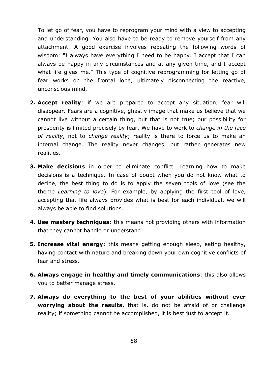To let go of fear, you have to reprogram your mind with a view to accepting and understanding. You also have to be ready to remove yourself from any attachment. A good exercise involves repeating the following words of wisdom: "I always have everything I need to be happy. I accept that I can always be happy in any circumstances and at any given time, and I accept what life gives me." This type of cognitive reprogramming for letting go of fear works on the frontal lobe, ultimately disconnecting the reactive, unconscious mind.

- **2. Accept reality**: if we are prepared to accept any situation, fear will disappear. Fears are a cognitive, ghastly image that make us believe that we cannot live without a certain thing, but that is not true; our possibility for prosperity is limited precisely by fear. We have to work to *change in the face of reality*, not to *change reality*; reality is there to force us to make an internal change. The reality never changes, but rather generates new realities.
- **3. Make decisions** in order to eliminate conflict. Learning how to make decisions is a technique. In case of doubt when you do not know what to decide, the best thing to do is to apply the seven tools of love (see the theme *Learning to love*). For example, by applying the first tool of love, accepting that life always provides what is best for each individual, we will always be able to find solutions.
- **4. Use mastery techniques**: this means not providing others with information that they cannot handle or understand.
- **5. Increase vital energy**: this means getting enough sleep, eating healthy, having contact with nature and breaking down your own cognitive conflicts of fear and stress.
- **6. Always engage in healthy and timely communications**: this also allows you to better manage stress.
- **7. Always do everything to the best of your abilities without ever worrying about the results**, that is, do not be afraid of or challenge reality; if something cannot be accomplished, it is best just to accept it.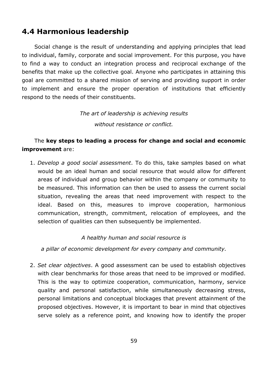# **4.4 Harmonious leadership**

Social change is the result of understanding and applying principles that lead to individual, family, corporate and social improvement. For this purpose, you have to find a way to conduct an integration process and reciprocal exchange of the benefits that make up the collective goal. Anyone who participates in attaining this goal are committed to a shared mission of serving and providing support in order to implement and ensure the proper operation of institutions that efficiently respond to the needs of their constituents.

> *The art of leadership is achieving results without resistance or conflict.*

## The **key steps to leading a process for change and social and economic improvement** are:

1. *Develop a good social assessment*. To do this, take samples based on what would be an ideal human and social resource that would allow for different areas of individual and group behavior within the company or community to be measured. This information can then be used to assess the current social situation, revealing the areas that need improvement with respect to the ideal. Based on this, measures to improve cooperation, harmonious communication, strength, commitment, relocation of employees, and the selection of qualities can then subsequently be implemented.

## *A healthy human and social resource is*

*a pillar of economic development for every company and community.* 

2. *Set clear objectives*. A good assessment can be used to establish objectives with clear benchmarks for those areas that need to be improved or modified. This is the way to optimize cooperation, communication, harmony, service quality and personal satisfaction, while simultaneously decreasing stress, personal limitations and conceptual blockages that prevent attainment of the proposed objectives. However, it is important to bear in mind that objectives serve solely as a reference point, and knowing how to identify the proper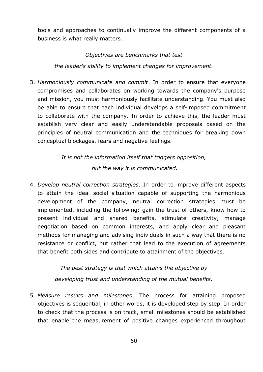tools and approaches to continually improve the different components of a business is what really matters.

*Objectives are benchmarks that test the leader's ability to implement changes for improvement.* 

3. *Harmoniously communicate and commit*. In order to ensure that everyone compromises and collaborates on working towards the company's purpose and mission, you must harmoniously facilitate understanding. You must also be able to ensure that each individual develops a self-imposed commitment to collaborate with the company. In order to achieve this, the leader must establish very clear and easily understandable proposals based on the principles of neutral communication and the techniques for breaking down conceptual blockages, fears and negative feelings.

> *It is not the information itself that triggers opposition, but the way it is communicated.*

4. *Develop neutral correction strategies*. In order to improve different aspects to attain the ideal social situation capable of supporting the harmonious development of the company, neutral correction strategies must be implemented, including the following: gain the trust of others, know how to present individual and shared benefits, stimulate creativity, manage negotiation based on common interests, and apply clear and pleasant methods for managing and advising individuals in such a way that there is no resistance or conflict, but rather that lead to the execution of agreements that benefit both sides and contribute to attainment of the objectives.

> *The best strategy is that which attains the objective by developing trust and understanding of the mutual benefits.*

5. *Measure results and milestones*. The process for attaining proposed objectives is sequential, in other words, it is developed step by step. In order to check that the process is on track, small milestones should be established that enable the measurement of positive changes experienced throughout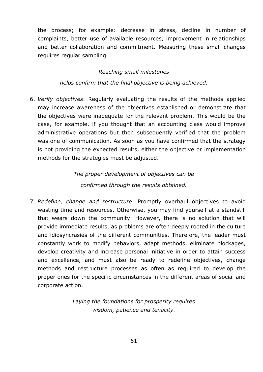the process; for example: decrease in stress, decline in number of complaints, better use of available resources, improvement in relationships and better collaboration and commitment. Measuring these small changes requires regular sampling.

## *Reaching small milestones*

*helps confirm that the final objective is being achieved.* 

6. *Verify objectives*. Regularly evaluating the results of the methods applied may increase awareness of the objectives established or demonstrate that the objectives were inadequate for the relevant problem. This would be the case, for example, if you thought that an accounting class would improve administrative operations but then subsequently verified that the problem was one of communication. As soon as you have confirmed that the strategy is not providing the expected results, either the objective or implementation methods for the strategies must be adjusted.

> *The proper development of objectives can be confirmed through the results obtained.*

7. *Redefine, change and restructure*. Promptly overhaul objectives to avoid wasting time and resources. Otherwise, you may find yourself at a standstill that wears down the community. However, there is no solution that will provide immediate results, as problems are often deeply rooted in the culture and idiosyncrasies of the different communities. Therefore, the leader must constantly work to modify behaviors, adapt methods, eliminate blockages, develop creativity and increase personal initiative in order to attain success and excellence, and must also be ready to redefine objectives, change methods and restructure processes as often as required to develop the proper ones for the specific circumstances in the different areas of social and corporate action.

> *Laying the foundations for prosperity requires wisdom, patience and tenacity.*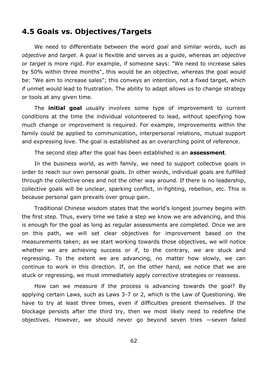## **4.5 Goals vs. Objectives/Targets**

We need to differentiate between the word *goal* and similar words, such as *objective* and *target*. A *goal* is flexible and serves as a guide, whereas an *objective*  or *target* is more rigid. For example, if someone says: "We need to increase sales by 50% within three months", this would be an objective, whereas the goal would be: "We aim to increase sales"; this conveys an intention, not a fixed target, which if unmet would lead to frustration. The ability to adapt allows us to change strategy or tools at any given time.

The **initial goal** usually involves some type of improvement to current conditions at the time the individual volunteered to lead, without specifying how much change or improvement is required. For example, improvements within the family could be applied to communication, interpersonal relations, mutual support and expressing love. The goal is established as an overarching point of reference.

The second step after the goal has been established is an **assessment**.

In the business world, as with family, we need to support collective goals in order to reach our own personal goals. In other words, individual goals are fulfilled through the collective ones and not the other way around. If there is no leadership, collective goals will be unclear, sparking conflict, in-fighting, rebellion, etc. This is because personal gain prevails over group gain.

Traditional Chinese wisdom states that the world's longest journey begins with the first step. Thus, every time we take a step we know we are advancing, and this is enough for the goal as long as regular assessments are completed. Once we are on this path, we will set clear objectives for improvement based on the measurements taken; as we start working towards those objectives, we will notice whether we are achieving success or if, to the contrary, we are stuck and regressing. To the extent we are advancing, no matter how slowly, we can continue to work in this direction. If, on the other hand, we notice that we are stuck or regressing, we must immediately apply corrective strategies or reassess.

How can we measure if the process is advancing towards the goal? By applying certain Laws, such as Laws 3-7 or 2, which is the Law of Questioning. We have to try at least three times, even if difficulties present themselves. If the blockage persists after the third try, then we most likely need to redefine the objectives. However, we should never go beyond seven tries —seven failed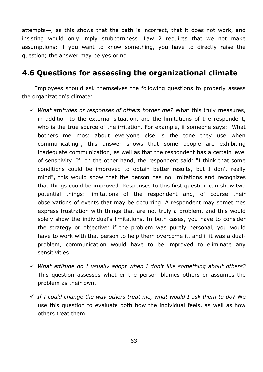attempts—, as this shows that the path is incorrect, that it does not work, and insisting would only imply stubbornness. Law 2 requires that we not make assumptions: if you want to know something, you have to directly raise the question; the answer may be yes or no.

# **4.6 Questions for assessing the organizational climate**

Employees should ask themselves the following questions to properly assess the organization's climate:

- *What attitudes or responses of others bother me?* What this truly measures, in addition to the external situation, are the limitations of the respondent, who is the true source of the irritation. For example, if someone says: "What bothers me most about everyone else is the tone they use when communicating", this answer shows that some people are exhibiting inadequate communication, as well as that the respondent has a certain level of sensitivity. If, on the other hand, the respondent said: "I think that some conditions could be improved to obtain better results, but I don't really mind", this would show that the person has no limitations and recognizes that things could be improved. Responses to this first question can show two potential things: limitations of the respondent and, of course their observations of events that may be occurring. A respondent may sometimes express frustration with things that are not truly a problem, and this would solely show the individual's limitations. In both cases, you have to consider the strategy or objective: if the problem was purely personal, you would have to work with that person to help them overcome it, and if it was a dualproblem, communication would have to be improved to eliminate any sensitivities.
- *What attitude do I usually adopt when I don't like something about others?*  This question assesses whether the person blames others or assumes the problem as their own.
- *If I could change the way others treat me, what would I ask them to do?* We use this question to evaluate both how the individual feels, as well as how others treat them.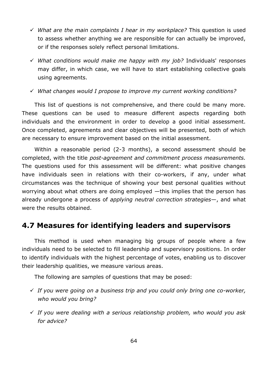- *What are the main complaints I hear in my workplace?* This question is used to assess whether anything we are responsible for can actually be improved, or if the responses solely reflect personal limitations.
- *What conditions would make me happy with my job?* Individuals' responses may differ, in which case, we will have to start establishing collective goals using agreements.

*What changes would I propose to improve my current working conditions?*

This list of questions is not comprehensive, and there could be many more. These questions can be used to measure different aspects regarding both individuals and the environment in order to develop a good initial assessment. Once completed, agreements and clear objectives will be presented, both of which are necessary to ensure improvement based on the initial assessment.

Within a reasonable period (2-3 months), a second assessment should be completed, with the title *post-agreement and commitment process measurements.*  The questions used for this assessment will be different: what positive changes have individuals seen in relations with their co-workers, if any, under what circumstances was the technique of showing your best personal qualities without worrying about what others are doing employed —this implies that the person has already undergone a process of *applying neutral correction strategies*—, and what were the results obtained.

# **4.7 Measures for identifying leaders and supervisors**

This method is used when managing big groups of people where a few individuals need to be selected to fill leadership and supervisory positions. In order to identify individuals with the highest percentage of votes, enabling us to discover their leadership qualities, we measure various areas.

The following are samples of questions that may be posed:

- *If you were going on a business trip and you could only bring one co-worker, who would you bring?*
- *If you were dealing with a serious relationship problem, who would you ask for advice?*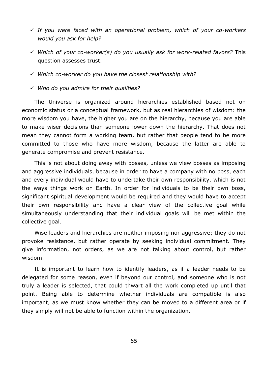- *If you were faced with an operational problem, which of your co-workers would you ask for help?*
- *Which of your co-worker(s) do you usually ask for work-related favors?* This question assesses trust.
- *Which co-worker do you have the closest relationship with?*
- *Who do you admire for their qualities?*

The Universe is organized around hierarchies established based not on economic status or a conceptual framework, but as real hierarchies of wisdom: the more wisdom you have, the higher you are on the hierarchy, because you are able to make wiser decisions than someone lower down the hierarchy. That does not mean they cannot form a working team, but rather that people tend to be more committed to those who have more wisdom, because the latter are able to generate compromise and prevent resistance.

This is not about doing away with bosses, unless we view bosses as imposing and aggressive individuals, because in order to have a company with no boss, each and every individual would have to undertake their own responsibility, which is not the ways things work on Earth. In order for individuals to be their own boss, significant spiritual development would be required and they would have to accept their own responsibility and have a clear view of the collective goal while simultaneously understanding that their individual goals will be met within the collective goal.

Wise leaders and hierarchies are neither imposing nor aggressive; they do not provoke resistance, but rather operate by seeking individual commitment. They give information, not orders, as we are not talking about control, but rather wisdom.

It is important to learn how to identify leaders, as if a leader needs to be delegated for some reason, even if beyond our control, and someone who is not truly a leader is selected, that could thwart all the work completed up until that point. Being able to determine whether individuals are compatible is also important, as we must know whether they can be moved to a different area or if they simply will not be able to function within the organization.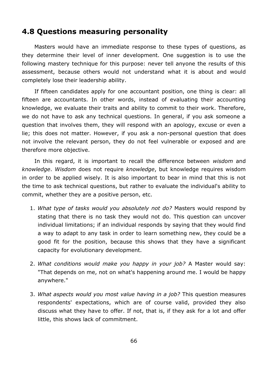# **4.8 Questions measuring personality**

Masters would have an immediate response to these types of questions, as they determine their level of inner development. One suggestion is to use the following mastery technique for this purpose: never tell anyone the results of this assessment, because others would not understand what it is about and would completely lose their leadership ability.

If fifteen candidates apply for one accountant position, one thing is clear: all fifteen are accountants. In other words, instead of evaluating their accounting knowledge, we evaluate their traits and ability to commit to their work. Therefore, we do not have to ask any technical questions. In general, if you ask someone a question that involves them, they will respond with an apology, excuse or even a lie; this does not matter. However, if you ask a non-personal question that does not involve the relevant person, they do not feel vulnerable or exposed and are therefore more objective.

In this regard, it is important to recall the difference between *wisdom* and *knowledge*. *Wisdom* does not require *knowledge*, but knowledge requires wisdom in order to be applied wisely. It is also important to bear in mind that this is not the time to ask technical questions, but rather to evaluate the individual's ability to commit, whether they are a positive person, etc.

- 1. *What type of tasks would you absolutely not do?* Masters would respond by stating that there is no task they would not do. This question can uncover individual limitations; if an individual responds by saying that they would find a way to adapt to any task in order to learn something new, they could be a good fit for the position, because this shows that they have a significant capacity for evolutionary development.
- 2. *What conditions would make you happy in your job?* A Master would say: "That depends on me, not on what's happening around me. I would be happy anywhere."
- 3. *What aspects would you most value having in a job?* This question measures respondents' expectations, which are of course valid, provided they also discuss what they have to offer. If not, that is, if they ask for a lot and offer little, this shows lack of commitment.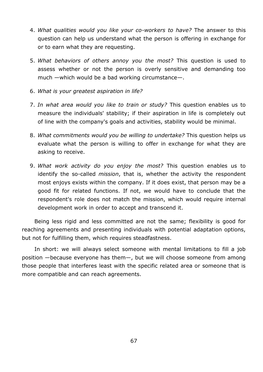- 4. *What qualities would you like your co-workers to have?* The answer to this question can help us understand what the person is offering in exchange for or to earn what they are requesting.
- 5. *What behaviors of others annoy you the most?* This question is used to assess whether or not the person is overly sensitive and demanding too much —which would be a bad working circumstance—.
- 6. *What is your greatest aspiration in life?*
- 7. *In what area would you like to train or study?* This question enables us to measure the individuals' stability; if their aspiration in life is completely out of line with the company's goals and activities, stability would be minimal.
- 8. *What commitments would you be willing to undertake?* This question helps us evaluate what the person is willing to offer in exchange for what they are asking to receive.
- 9. *What work activity do you enjoy the most?* This question enables us to identify the so-called *mission*, that is, whether the activity the respondent most enjoys exists within the company. If it does exist, that person may be a good fit for related functions. If not, we would have to conclude that the respondent's role does not match the mission, which would require internal development work in order to accept and transcend it.

Being less rigid and less committed are not the same; flexibility is good for reaching agreements and presenting individuals with potential adaptation options, but not for fulfilling them, which requires steadfastness.

In short: we will always select someone with mental limitations to fill a job position —because everyone has them—, but we will choose someone from among those people that interferes least with the specific related area or someone that is more compatible and can reach agreements.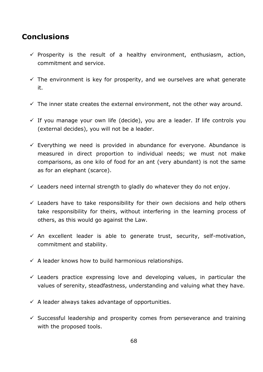# **Conclusions**

- $\checkmark$  Prosperity is the result of a healthy environment, enthusiasm, action, commitment and service.
- $\checkmark$  The environment is key for prosperity, and we ourselves are what generate it.
- $\checkmark$  The inner state creates the external environment, not the other way around.
- $\checkmark$  If you manage your own life (decide), you are a leader. If life controls you (external decides), you will not be a leader.
- $\checkmark$  Everything we need is provided in abundance for everyone. Abundance is measured in direct proportion to individual needs; we must not make comparisons, as one kilo of food for an ant (very abundant) is not the same as for an elephant (scarce).
- $\checkmark$  Leaders need internal strength to gladly do whatever they do not enjoy.
- $\checkmark$  Leaders have to take responsibility for their own decisions and help others take responsibility for theirs, without interfering in the learning process of others, as this would go against the Law.
- $\checkmark$  An excellent leader is able to generate trust, security, self-motivation, commitment and stability.
- $\checkmark$  A leader knows how to build harmonious relationships.
- $\checkmark$  Leaders practice expressing love and developing values, in particular the values of serenity, steadfastness, understanding and valuing what they have.
- $\checkmark$  A leader always takes advantage of opportunities.
- $\checkmark$  Successful leadership and prosperity comes from perseverance and training with the proposed tools.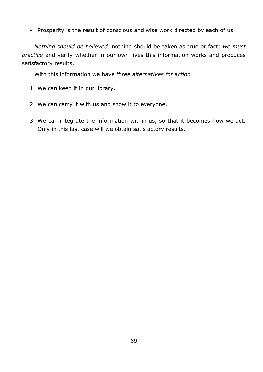$\checkmark$  Prosperity is the result of conscious and wise work directed by each of us.

*Nothing should be believed,* nothing should be taken as true or fact; *we must practice* and verify whether in our own lives this information works and produces satisfactory results.

With this information we have *three alternatives for action*:

1. We can keep it in our library.

- 2. We can carry it with us and show it to everyone.
- 3. We can integrate the information within us, so that it becomes how we act. Only in this last case will we obtain satisfactory results.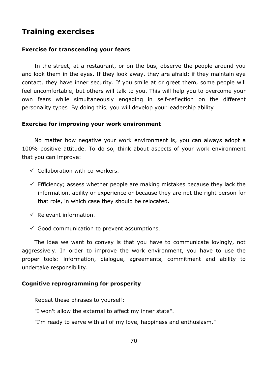# **Training exercises**

#### **Exercise for transcending your fears**

In the street, at a restaurant, or on the bus, observe the people around you and look them in the eyes. If they look away, they are afraid; if they maintain eye contact, they have inner security. If you smile at or greet them, some people will feel uncomfortable, but others will talk to you. This will help you to overcome your own fears while simultaneously engaging in self-reflection on the different personality types. By doing this, you will develop your leadership ability.

#### **Exercise for improving your work environment**

No matter how negative your work environment is, you can always adopt a 100% positive attitude. To do so, think about aspects of your work environment that you can improve:

- $\checkmark$  Collaboration with co-workers.
- $\checkmark$  Efficiency; assess whether people are making mistakes because they lack the information, ability or experience or because they are not the right person for that role, in which case they should be relocated.
- $\checkmark$  Relevant information.
- $\checkmark$  Good communication to prevent assumptions.

The idea we want to convey is that you have to communicate lovingly, not aggressively. In order to improve the work environment, you have to use the proper tools: information, dialogue, agreements, commitment and ability to undertake responsibility.

#### **Cognitive reprogramming for prosperity**

Repeat these phrases to yourself:

"I won't allow the external to affect my inner state".

"I'm ready to serve with all of my love, happiness and enthusiasm."